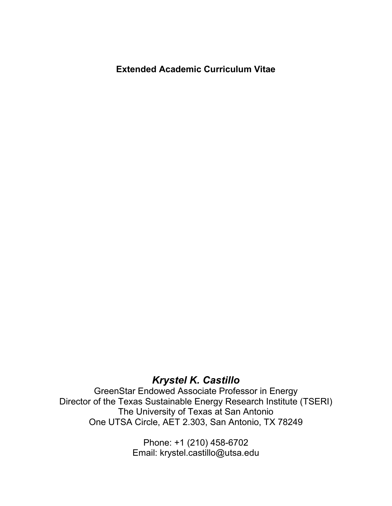# **Extended Academic Curriculum Vitae**

# *Krystel K. Castillo*

GreenStar Endowed Associate Professor in Energy Director of the Texas Sustainable Energy Research Institute (TSERI) The University of Texas at San Antonio One UTSA Circle, AET 2.303, San Antonio, TX 78249

> Phone: +1 (210) 458-6702 Email: krystel.castillo@utsa.edu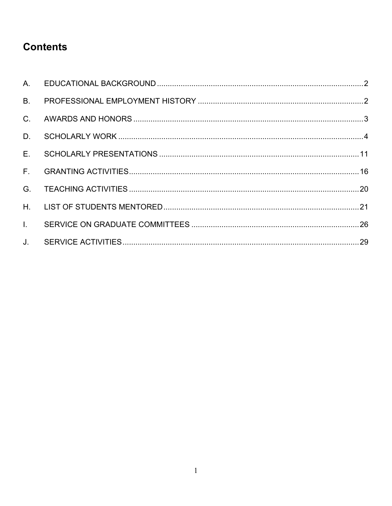# **Contents**

| B <sub>1</sub> |  |
|----------------|--|
| $C_{\cdot}$    |  |
| D.             |  |
| $E_{\perp}$    |  |
| $F_{\rm{H}}$   |  |
| G.             |  |
| $H_{\rm{H}}$   |  |
| $\mathbf{L}$   |  |
| $J_{-}$        |  |
|                |  |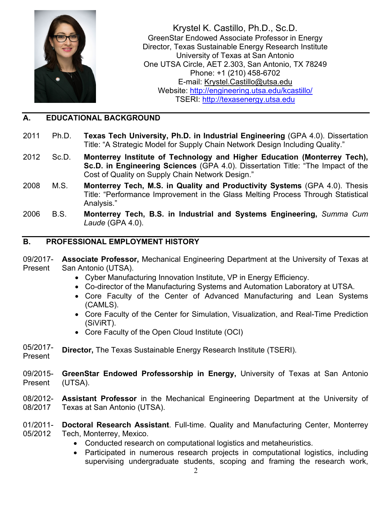

Krystel K. Castillo, Ph.D., Sc.D. GreenStar Endowed Associate Professor in Energy Director, Texas Sustainable Energy Research Institute University of Texas at San Antonio One UTSA Circle, AET 2.303, San Antonio, TX 78249 Phone: +1 (210) 458-6702 E-mail: [Krystel.Castillo@utsa.edu](mailto:Krystel.Castillo@utsa.edu) Website:<http://engineering.utsa.edu/kcastillo/> TSERI: [http://texasenergy.utsa.edu](http://texasenergy.utsa.edu/)

#### <span id="page-2-0"></span>**A. EDUCATIONAL BACKGROUND**

- 2011 Ph.D. **Texas Tech University, Ph.D. in Industrial Engineering** (GPA 4.0). Dissertation Title: "A Strategic Model for Supply Chain Network Design Including Quality."
- 2012 Sc.D. **Monterrey Institute of Technology and Higher Education (Monterrey Tech), Sc.D. in Engineering Sciences** (GPA 4.0). Dissertation Title: "The Impact of the Cost of Quality on Supply Chain Network Design."
- 2008 M.S. **Monterrey Tech, M.S. in Quality and Productivity Systems** (GPA 4.0). Thesis Title: "Performance Improvement in the Glass Melting Process Through Statistical Analysis."
- 2006 B.S. **Monterrey Tech, B.S. in Industrial and Systems Engineering,** *Summa Cum Laude* (GPA 4.0).

#### <span id="page-2-1"></span>**B. PROFESSIONAL EMPLOYMENT HISTORY**

- 09/2017- Present **Associate Professor,** Mechanical Engineering Department at the University of Texas at San Antonio (UTSA).
	- Cyber Manufacturing Innovation Institute, VP in Energy Efficiency.
	- Co-director of the Manufacturing Systems and Automation Laboratory at UTSA.
	- Core Faculty of the Center of Advanced Manufacturing and Lean Systems (CAMLS).
	- Core Faculty of the Center for Simulation, Visualization, and Real-Time Prediction (SiViRT).
	- Core Faculty of the Open Cloud Institute (OCI)
- 05/2017- **Director,** The Texas Sustainable Energy Research Institute (TSERI).
- Present
- 09/2015- Present **GreenStar Endowed Professorship in Energy,** University of Texas at San Antonio (UTSA).
- 08/2012- 08/2017 **Assistant Professor** in the Mechanical Engineering Department at the University of Texas at San Antonio (UTSA).
- 01/2011- 05/2012 **Doctoral Research Assistant**. Full-time. Quality and Manufacturing Center, Monterrey Tech, Monterrey, Mexico.
	- Conducted research on computational logistics and metaheuristics.
	- Participated in numerous research projects in computational logistics, including supervising undergraduate students, scoping and framing the research work,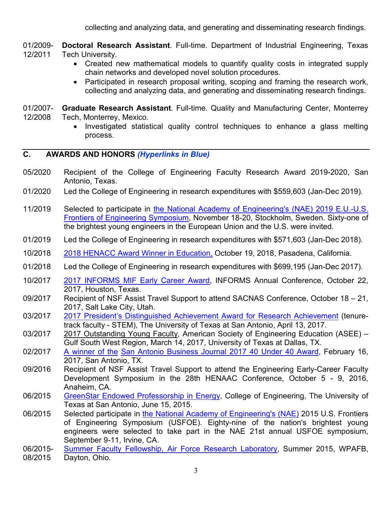collecting and analyzing data, and generating and disseminating research findings.

01/2009- 12/2011 **Doctoral Research Assistant**. Full-time. Department of Industrial Engineering, Texas Tech University.

- Created new mathematical models to quantify quality costs in integrated supply chain networks and developed novel solution procedures.
- Participated in research proposal writing, scoping and framing the research work, collecting and analyzing data, and generating and disseminating research findings.
- 01/2007- 12/2008 **Graduate Research Assistant**. Full-time. Quality and Manufacturing Center, Monterrey Tech, Monterrey, Mexico.
	- Investigated statistical quality control techniques to enhance a glass melting process.

#### <span id="page-3-0"></span>**C. AWARDS AND HONORS** *(Hyperlinks in Blue)*

- 05/2020 Recipient of the College of Engineering Faculty Research Award 2019-2020, San Antonio, Texas.
- 01/2020 Led the College of Engineering in research expenditures with \$559,603 (Jan-Dec 2019).
- 11/2019 Selected to participate in [the National Academy of Engineering's \(NAE\) 2019 E.U.-U.S.](https://www.naefrontiers.org/188387/Participants#tabs)  [Frontiers of Engineering Symposium,](https://www.naefrontiers.org/188387/Participants#tabs) November 18-20, Stockholm, Sweden. Sixty-one of the brightest young engineers in the European Union and the U.S. were invited.
- 01/2019 Led the College of Engineering in research expenditures with \$571,603 (Jan-Dec 2018).
- 10/2018 [2018 HENACC Award Winner in Education,](http://www.greatmindsinstem.org/professionals/award-winners-2018) October 19, 2018, Pasadena, California.
- 01/2018 Led the College of Engineering in research expenditures with \$699,195 (Jan-Dec 2017).
- 10/2017 [2017 INFORMS MIF Early Career Award,](https://connect.informs.org/minorityissuesforum/awards/career/pastaward) INFORMS Annual Conference, October 22, 2017, Houston, Texas.
- 09/2017 Recipient of NSF Assist Travel Support to attend SACNAS Conference, October 18 21, 2017, Salt Lake City, Utah.
- 03/2017 [2017 President's Distinguished Achievement Award for Research Achievement](http://www.utsa.edu/innovations/spring2017/story/story-awards-ceremony.html) (tenuretrack faculty - STEM), The University of Texas at San Antonio, April 13, 2017.
- 03/2017 2017 Outstanding Young Faculty, American Society of Engineering Education (ASEE) Gulf South West Region, March 14, 2017, University of Texas at Dallas, TX.
- 02/2017 [A winner of the](https://www.utsa.edu/today/2017/01/40under40.html) [San Antonio Business Journal 2017 40 Under 40 Award,](http://www.bizjournals.com/sanantonio/news/2017/01/10/sabjs-2017-40-under-40-winners-announced.html) February 16, 2017, San Antonio, TX.
- 09/2016 Recipient of NSF Assist Travel Support to attend the Engineering Early-Career Faculty Development Symposium in the 28th HENAAC Conference, October 5 - 9, 2016, Anaheim, CA.
- 06/2015 [GreenStar Endowed Professorship in Energy,](http://www.utsa.edu/innovations/spring2015/story/feature-castillo.html) College of Engineering, The University of Texas at San Antonio, June 15, 2015.
- 06/2015 Selected participate in [the National Academy of Engineering's \(NAE\)](http://www.nae.edu/Projects/MediaRoom/20095/130169/140147.aspx) 2015 U.S. Frontiers of Engineering Symposium (USFOE). Eighty-nine of the nation's brightest young engineers were selected to take part in the NAE 21st annual USFOE symposium, September 9-11, Irvine, CA.
- 06/2015- [Summer Faculty Fellowship, Air Force Research Laboratory,](http://afsffp.sysplus.com/SFFP/awardees/2015.aspx) Summer 2015, WPAFB,
- 08/2015 Dayton, Ohio.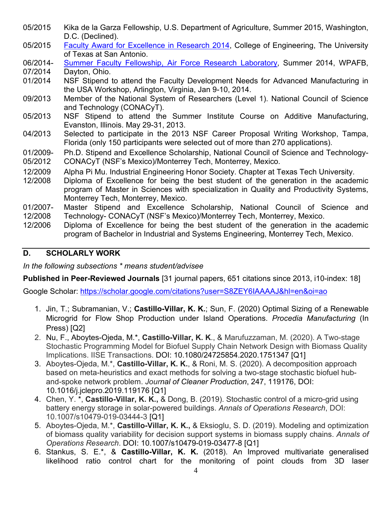- 05/2015 Kika de la Garza Fellowship, U.S. Department of Agriculture, Summer 2015, Washington, D.C. (Declined).
- 05/2015 [Faculty Award for Excellence in Research 2014,](http://www.utsa.edu/innovations/spring2015/story/award-winners.html) College of Engineering, The University of Texas at San Antonio.
- 06/2014- [Summer Faculty Fellowship, Air Force Research Laboratory,](http://afsffp.sysplus.com/SFFP/awardees/2014.aspx) Summer 2014, WPAFB,
- 07/2014 Dayton, Ohio.
- 01/2014 NSF Stipend to attend the Faculty Development Needs for Advanced Manufacturing in the USA Workshop, Arlington, Virginia, Jan 9-10, 2014.
- 09/2013 Member of the National System of Researchers (Level 1). National Council of Science and Technology (CONACyT).
- 05/2013 NSF Stipend to attend the Summer Institute Course on Additive Manufacturing, Evanston, Illinois. May 29-31, 2013.
- 04/2013 Selected to participate in the 2013 NSF Career Proposal Writing Workshop, Tampa, Florida (only 150 participants were selected out of more than 270 applications).
- 01/2009- Ph.D. Stipend and Excellence Scholarship, National Council of Science and Technology-
- 05/2012 CONACyT (NSF's Mexico)/Monterrey Tech, Monterrey, Mexico.
- 12/2009 Alpha Pi Mu. Industrial Engineering Honor Society. Chapter at Texas Tech University.
- 12/2008 Diploma of Excellence for being the best student of the generation in the academic program of Master in Sciences with specialization in Quality and Productivity Systems, Monterrey Tech, Monterrey, Mexico.
- 01/2007- 12/2008 Master Stipend and Excellence Scholarship, National Council of Science and Technology- CONACyT (NSF's Mexico)/Monterrey Tech, Monterrey, Mexico.
- 12/2006 Diploma of Excellence for being the best student of the generation in the academic program of Bachelor in Industrial and Systems Engineering, Monterrey Tech, Mexico.

# <span id="page-4-0"></span>**D. SCHOLARLY WORK**

*In the following subsections \* means student/advisee*

**Published in Peer-Reviewed Journals** [31 journal papers, 651 citations since 2013, i10-index: 18]

Google Scholar:<https://scholar.google.com/citations?user=S8ZEY6IAAAAJ&hl=en&oi=ao>

- 1. Jin, T.; Subramanian, V.; **Castillo-Villar, K. K.**; Sun, F. (2020) Optimal Sizing of a Renewable Microgrid for Flow Shop Production under Island Operations. *Procedia Manufacturing* (In Press) [Q2]
- 2. Nu, F., Aboytes-Ojeda, M.\*, **Castillo-Villar, K. K**., & Marufuzzaman, M. (2020). A Two-stage Stochastic Programming Model for Biofuel Supply Chain Network Design with Biomass Quality Implications. IISE Transactions. [DOI: 10.1080/24725854.2020.1751347](https://doi.org/10.1080/24725854.2020.1751347) [Q1]
- 3. Aboytes-Ojeda, M.\*, **Castillo-Villar, K. K.**, & Roni, M. S. (2020). A decomposition approach based on meta-heuristics and exact methods for solving a two-stage stochastic biofuel huband-spoke network problem. *Journal of Cleaner Production*, 247, 119176, [DOI:](https://doi.org/10.1016/j.jclepro.2019.119176)  [10.1016/j.jclepro.2019.119176](https://doi.org/10.1016/j.jclepro.2019.119176) [Q1]
- 4. Chen, Y. \*, **Castillo-Villar, K. K.,** & Dong, B. (2019). Stochastic control of a micro-grid using battery energy storage in solar-powered buildings. *Annals of Operations Research*, DOI: 10.1007/s10479-019-03444-3 [Q1]
- 5. Aboytes-Ojeda, M.\*, **Castillo-Villar, K. K.,** & Eksioglu, S. D. (2019). Modeling and optimization of biomass quality variability for decision support systems in biomass supply chains. *Annals of Operations Research*. [DOI: 10.1007/s10479-019-03477-8](https://doi.org/10.1007/s10479-019-03477-8) [Q1]
- 6. Stankus, S. E.\*, & **Castillo-Villar, K. K.** (2018). An Improved multivariate generalised likelihood ratio control chart for the monitoring of point clouds from 3D laser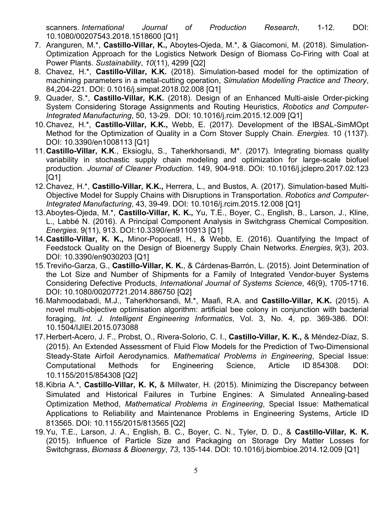scanners. *International Journal of Production Research*, 1-12. DOI: 10.1080/00207543.2018.1518600 [Q1]

- 7. Aranguren, M.\*, **Castillo-Villar, K.,** Aboytes-Ojeda, M.\*, & Giacomoni, M. (2018). Simulation-Optimization Approach for the Logistics Network Design of Biomass Co-Firing with Coal at Power Plants. *Sustainability*, *10*(11), 4299 [Q2]
- 8. Chavez, H.\*, **Castillo-Villar, K.K.** (2018). Simulation-based model for the optimization of machining parameters in a metal-cutting operation, *Simulation Modelling Practice and Theory*, 84,204-221. DOI: [0.1016/j.simpat.2018.02.008](https://doi.org/10.1016/j.simpat.2018.02.008) [Q1]
- 9. Quader, S.\*, **Castillo-Villar, K.K.** (2018). Design of an Enhanced Multi-aisle Order-picking System Considering Storage Assignments and Routing Heuristics, *Robotics and Computer-Integrated Manufacturing*, 50, 13-29. DOI: 10.1016/j.rcim.2015.12.009 [Q1]
- 10.Chavez, H.\*, **Castillo-Villar, K.K.,** Webb, E. (2017). Development of the IBSAL-SimMOpt Method for the Optimization of Quality in a Corn Stover Supply Chain. *Energies.* 10 (1137). DOI: 10.3390/en1008113 [Q1]
- 11.**Castillo-Villar, K.K**., Eksioglu, S., Taherkhorsandi, M\*. (2017). Integrating biomass quality variability in stochastic supply chain modeling and optimization for large-scale biofuel production. *Journal of Cleaner Production*. 149, 904-918. DOI: 10.1016/j.jclepro.2017.02.123 [Q1]
- 12.Chavez, H.\*, **Castillo-Villar, K.K.,** Herrera, L., and Bustos, A. (2017). Simulation-based Multi-Objective Model for Supply Chains with Disruptions in Transportation. *Robotics and Computer-Integrated Manufacturing*, 43, 39-49. DOI: 10.1016/j.rcim.2015.12.008 [Q1]
- 13.Aboytes-Ojeda, M.\*, **Castillo-Villar, K. K.,** Yu, T.E., Boyer, C., English, B., Larson, J., Kline, L., Labbé N. (2016). A Principal Component Analysis in Switchgrass Chemical Composition. *Energies.* 9(11), 913. DOI[:10.3390/en9110913](http://dx.doi.org/10.3390/en9110913) [Q1]
- 14.**Castillo-Villar, K. K.,** Minor-Popocatl, H., & Webb, E. (2016). Quantifying the Impact of Feedstock Quality on the Design of Bioenergy Supply Chain Networks. *Energies*, *9*(3), 203. DOI: 10.3390/en9030203 [Q1]
- 15.Treviño-Garza, G., **Castillo-Villar, K. K.**, & Cárdenas-Barrón, L. (2015). Joint Determination of the Lot Size and Number of Shipments for a Family of Integrated Vendor-buyer Systems Considering Defective Products, *International Journal of Systems Science*, 46(9), 1705-1716. DOI: 10.1080/00207721.2014.886750 [Q2]
- 16.Mahmoodabadi, M.J., Taherkhorsandi, M.\*, Maafi, R.A. and **Castillo-Villar, K.K.** (2015). A novel multi-objective optimisation algorithm: artificial bee colony in conjunction with bacterial foraging, *Int. J. Intelligent Engineering Informatics*, Vol. 3, No. 4, pp. 369-386. DOI: [10.1504/IJIEI.2015.073088](http://dx.doi.org/10.1504/IJIEI.2015.073088)
- 17.Herbert-Acero, J. F., Probst, O., Rivera-Solorio, C. I., **Castillo-Villar, K. K.,** & Méndez-Díaz, S. (2015). An Extended Assessment of Fluid Flow Models for the Prediction of Two-Dimensional Steady-State Airfoil Aerodynamics. *Mathematical Problems in Engineering*, Special Issue: Computational Methods for Engineering Science, Article ID 854308. DOI: 10.1155/2015/854308 [Q2]
- 18.Kibria A.\*, **Castillo-Villar, K. K,** & Millwater, H. (2015). Minimizing the Discrepancy between Simulated and Historical Failures in Turbine Engines: A Simulated Annealing-based Optimization Method, *Mathematical Problems in Engineering*, Special Issue: Mathematical Applications to Reliability and Maintenance Problems in Engineering Systems, Article ID 813565. DOI: [10.1155/2015/813565](http://dx.doi.org/10.1155/2015/813565) [Q2]
- 19.Yu, T.E., Larson, J. A., English, B. C., Boyer, C. N., Tyler, D. D., & **Castillo-Villar, K. K.** (2015). Influence of Particle Size and Packaging on Storage Dry Matter Losses for Switchgrass, *Biomass & Bioenergy*, *73*, 135-144. DOI: 10.1016/j.biombioe.2014.12.009 [Q1]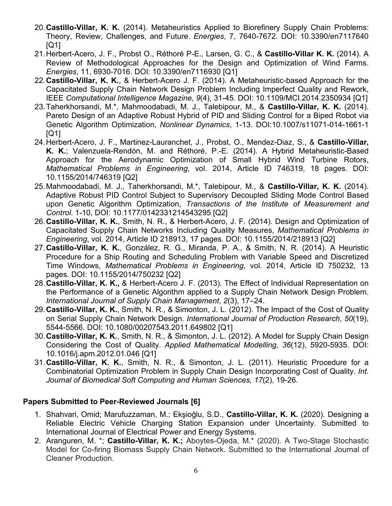- 20.**Castillo-Villar, K. K.** (2014). Metaheuristics Applied to Biorefinery Supply Chain Problems: Theory, Review, Challenges, and Future. *Energies*, 7, 7640-7672. DOI: 10.3390/en7117640 [Q1]
- 21.Herbert-Acero, J. F., Probst O., Réthoré P-E., Larsen, G. C., & **Castillo-Villar K. K.** (2014). A Review of Methodological Approaches for the Design and Optimization of Wind Farms. *Energies*, 11, 6930-7016. DOI: 10.3390/en7116930 [Q1]
- 22.**Castillo-Villar, K. K.**, & Herbert-Acero J. F. (2014). A Metaheuristic-based Approach for the Capacitated Supply Chain Network Design Problem Including Imperfect Quality and Rework, IEEE *Computational Intelligence Magazine, 9*(4), 31-45. DOI: 10.1109/MCI.2014.2350934 [Q1]
- 23.Taherkhorsandi, M.\*, Mahmoodabadi, M. J., Talebipour, M., & **Castillo-Villar, K. K.** (2014). Pareto Design of an Adaptive Robust Hybrid of PID and Sliding Control for a Biped Robot via Genetic Algorithm Optimization, *Nonlinear Dynamics*, 1-13. DOI:10.1007/s11071-014-1661-1 [Q1]
- 24.Herbert-Acero, J. F., Martinez-Lauranchet, J., Probst, O., Mendez-Diaz, S., & **Castillo-Villar, K. K.**; Valenzuela-Rendón, M. and Réthoré, P.-E. (2014). A Hybrid Metaheuristic-Based Approach for the Aerodynamic Optimization of Small Hybrid Wind Turbine Rotors, *Mathematical Problems in Engineering*, vol. 2014, Article ID 746319, 18 pages. DOI: 10.1155/2014/746319 [Q2]
- 25.Mahmoodabadi, M. J., Taherkhorsandi, M.\*, Talebipour, M., & **Castillo-Villar, K. K.** (2014). Adaptive Robust PID Control Subject to Supervisory Decoupled Sliding Mode Control Based upon Genetic Algorithm Optimization, *Transactions of the Institute of Measurement and Control*. 1-10, DOI: 10.1177/0142331214543295 [Q2]
- 26.**Castillo-Villar, K. K.**, Smith, N. R., & Herbert-Acero, J. F. (2014). Design and Optimization of Capacitated Supply Chain Networks Including Quality Measures, *Mathematical Problems in Engineering*, vol. 2014, Article ID 218913, 17 pages. DOI: 10.1155/2014/218913 [Q2]
- 27.**Castillo-Villar, K. K.**, González, R. G., Miranda, P. A., & Smith, N. R. (2014). A Heuristic Procedure for a Ship Routing and Scheduling Problem with Variable Speed and Discretized Time Windows, *Mathematical Problems in Engineering,* vol. 2014, Article ID 750232, 13 pages. DOI: 10.1155/2014/750232 [Q2]
- 28.**Castillo-Villar, K. K.,** & Herbert-Acero J. F. (2013). The Effect of Individual Representation on the Performance of a Genetic Algorithm applied to a Supply Chain Network Design Problem. *International Journal of Supply Chain Management*, *2*(3), 17–24.
- 29.**Castillo-Villar, K. K.**, Smith, N. R., & Simonton, J. L. (2012). The Impact of the Cost of Quality on Serial Supply Chain Network Design. *International Journal of Production Research, 50*(19), 5544-5566. DOI: 10.1080/00207543.2011.649802 [Q1]
- 30.**Castillo-Villar, K. K.**, Smith, N. R., & Simonton, J. L. (2012). A Model for Supply Chain Design Considering the Cost of Quality. *Applied Mathematical Modelling, 36*(12), 5920-5935. DOI: 10.1016/j.apm.2012.01.046 [Q1]
- 31.**Castillo-Villar, K. K.**, Smith, N. R., & Simonton, J. L. (2011). Heuristic Procedure for a Combinatorial Optimization Problem in Supply Chain Design Incorporating Cost of Quality. *Int. Journal of Biomedical Soft Computing and Human Sciences, 17*(2), 19-26.

# **Papers Submitted to Peer-Reviewed Journals [6]**

- 1. Shahvari, Omid; Marufuzzaman, M.; Ekşioğlu, S.D., **Castillo-Villar, K. K.** (2020). Designing a Reliable Electric Vehicle Charging Station Expansion under Uncertainty. Submitted to International Journal of Electrical Power and Energy Systems.
- 2. Aranguren, M. \*; **Castillo-Villar, K. K.;** Aboytes-Ojeda, M.\* (2020). A Two-Stage Stochastic Model for Co-firing Biomass Supply Chain Network. Submitted to the International Journal of Cleaner Production.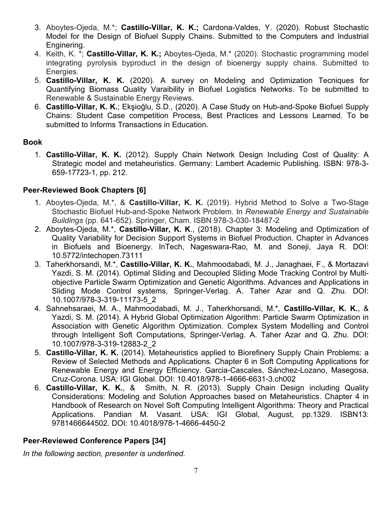- 3. Aboytes-Ojeda, M.\*; **Castillo-Villar, K. K.;** Cardona-Valdes, Y. (2020). Robust Stochastic Model for the Design of Biofuel Supply Chains. Submitted to the Computers and Industrial Enginering.
- 4. Keith, K. \*; **Castillo-Villar, K. K.;** Aboytes-Ojeda, M.\* (2020). Stochastic programming model integrating pyrolysis byproduct in the design of bioenergy supply chains. Submitted to Energies.
- 5. **Castillo-Villar, K. K.** (2020). A survey on Modeling and Optimization Tecniques for Quantifying Biomass Quality Varaibility in Biofuel Logistics Networks. To be submitted to Renewable & Sustainable Energy Reviews.
- 6. **Castillo-Villar, K. K.**; Ekşioğlu, S.D., (2020). A Case Study on Hub-and-Spoke Biofuel Supply Chains: Student Case competition Process, Best Practices and Lessons Learned. To be submitted to Informs Transactions in Education.

#### **Book**

1. **Castillo-Villar, K. K.** (2012). Supply Chain Network Design Including Cost of Quality: A Strategic model and metaheuristics. Germany: Lambert Academic Publishing. ISBN: [978-3-](https://www.lap-publishing.com/extern/redirect_to_editor/59129) [659-17723-1,](https://www.lap-publishing.com/extern/redirect_to_editor/59129) pp. 212.

# **Peer-Reviewed Book Chapters [6]**

- 1. Aboytes-Ojeda, M.\*, & **Castillo-Villar, K. K.** (2019). Hybrid Method to Solve a Two-Stage Stochastic Biofuel Hub-and-Spoke Network Problem. In *Renewable Energy and Sustainable Buildings* (pp. 641-652). Springer, Cham. ISBN 978-3-030-18487-2
- 2. Aboytes-Ojeda, M.\*, **Castillo-Villar, K. K**., (2018). Chapter 3: Modeling and Optimization of Quality Variability for Decision Support Systems in Biofuel Production. Chapter in Advances in Biofuels and Bioenergy. InTech, Nageswara-Rao, M. and Soneji, Jaya R. DOI: 10.5772/intechopen.73111
- 3. Taherkhorsandi, M.\*, **Castillo-Villar, K. K.**, Mahmoodabadi, M. J., Janaghaei, F., & Mortazavi Yazdi, S. M. (2014). Optimal Sliding and Decoupled Sliding Mode Tracking Control by Multiobjective Particle Swarm Optimization and Genetic Algorithms. Advances and Applications in Sliding Mode Control systems, Springer-Verlag. A. Taher Azar and Q. Zhu. DOI: 10.1007/978-3-319-11173-5\_2
- 4. Sahnehsaraei, M. A., Mahmoodabadi, M. J., Taherkhorsandi, M.\*, **Castillo-Villar, K. K.**, & Yazdi, S. M. (2014). A Hybrid Global Optimization Algorithm: Particle Swarm Optimization in Association with Genetic Algorithm Optimization. Complex System Modelling and Control through Intelligent Soft Computations, Springer-Verlag. A. Taher Azar and Q. Zhu. DOI: 10.1007/978-3-319-12883-2\_2
- 5. **Castillo-Villar, K. K.** (2014). Metaheuristics applied to Biorefinery Supply Chain Problems: a Review of Selected Methods and Applications. Chapter 6 in Soft Computing Applications for Renewable Energy and Energy Efficiency. Garcia-Cascales, Sánchez-Lozano, Masegosa, Cruz-Corona. USA: IGI Global. DOI: 10.4018/978-1-4666-6631-3.ch002
- 6. **Castillo-Villar, K. K.**, & Smith, N. R. (2013). Supply Chain Design including Quality Considerations: Modeling and Solution Approaches based on Metaheuristics. Chapter 4 in Handbook of Research on Novel Soft Computing Intelligent Algorithms: Theory and Practical Applications. Pandian M. Vasant. USA: IGI Global, August, pp.1329. ISBN13: 9781466644502. DOI: 10.4018/978-1-4666-4450-2

# **Peer-Reviewed Conference Papers [34]**

*In the following section, presenter is underlined.*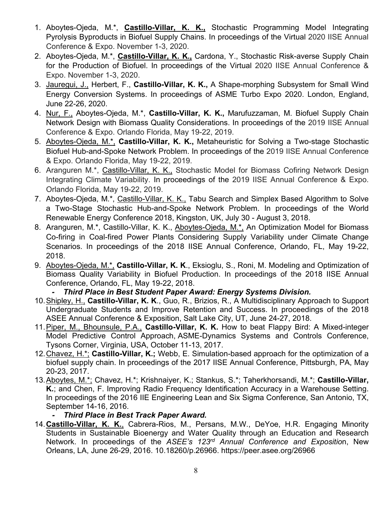- 1. Aboytes-Ojeda, M.\*, **Castillo-Villar, K. K.,** Stochastic Programming Model Integrating Pyrolysis Byproducts in Biofuel Supply Chains. In proceedings of the Virtual 2020 IISE Annual Conference & Expo. November 1-3, 2020.
- 2. Aboytes-Ojeda, M.\*, **Castillo-Villar, K. K.,** Cardona, Y., Stochastic Risk-averse Supply Chain for the Production of Biofuel. In proceedings of the Virtual 2020 IISE Annual Conference & Expo. November 1-3, 2020.
- 3. Jauregui, J., Herbert, F., **Castillo-Villar, K. K.,** A Shape-morphing Subsystem for Small Wind Energy Conversion Systems. In proceedings of ASME Turbo Expo 2020. London, England, June 22-26, 2020.
- 4. Nur, F., Aboytes-Ojeda, M.\*, **Castillo-Villar, K. K.,** Marufuzzaman, M. Biofuel Supply Chain Network Design with Biomass Quality Considerations. In proceedings of the 2019 IISE Annual Conference & Expo. Orlando Florida, May 19-22, 2019.
- 5. Aboytes-Ojeda, M.\*, **Castillo-Villar, K. K.,** Metaheuristic for Solving a Two-stage Stochastic Biofuel Hub-and-Spoke Network Problem. In proceedings of the 2019 IISE Annual Conference & Expo. Orlando Florida, May 19-22, 2019.
- 6. Aranguren M.\*, Castillo-Villar, K. K., Stochastic Model for Biomass Cofiring Network Design Integrating Climate Variability. In proceedings of the 2019 IISE Annual Conference & Expo. Orlando Florida, May 19-22, 2019.
- 7. Aboytes-Ojeda, M.\*, Castillo-Villar, K. K., Tabu Search and Simplex Based Algorithm to Solve a Two-Stage Stochastic Hub-and-Spoke Network Problem. In proceedings of the World Renewable Energy Conference 2018, Kingston, UK, July 30 - August 3, 2018.
- 8. Aranguren, M.\*, Castillo-Villar, K. K., Aboytes-Ojeda, M.\*, An Optimization Model for Biomass Co-firing in Coal-fired Power Plants Considering Supply Variability under Climate Change Scenarios. In proceedings of the 2018 IISE Annual Conference, Orlando, FL, May 19-22, 2018.
- 9. Aboytes-Ojeda, M.\*, **Castillo-Villar, K. K**., Eksioglu, S., Roni, M. Modeling and Optimization of Biomass Quality Variability in Biofuel Production. In proceedings of the 2018 IISE Annual Conference, Orlando, FL, May 19-22, 2018.

# *- Third Place in Best Student Paper Award: Energy Systems Division.*

- 10.Shipley, H., **Castillo-Villar, K. K**., Guo, R., Brizios, R., A Multidisciplinary Approach to Support Undergraduate Students and Improve Retention and Success. In proceedings of the 2018 ASEE Annual Conference & Exposition, Salt Lake City, UT, June 24-27, 2018.
- 11.Piper, M., Bhounsule, P.A., **Castillo-Villar, K. K.** How to beat Flappy Bird: A Mixed-integer Model Predictive Control Approach, ASME-Dynamics Systems and Controls Conference, Tysons Corner, Virginia, USA, October 11-13, 2017.
- 12.Chavez, H.\*; **Castillo-Villar, K.;** Webb, E. Simulation-based approach for the optimization of a biofuel supply chain. In proceedings of the 2017 IISE Annual Conference, Pittsburgh, PA, May 20-23, 2017.
- 13.Aboytes, M.\*; Chavez, H.\*; Krishnaiyer, K.; Stankus, S.\*; Taherkhorsandi, M.\*; **Castillo-Villar, K.**; and Chen, F. Improving Radio Frequency Identification Accuracy in a Warehouse Setting. In proceedings of the 2016 IIE Engineering Lean and Six Sigma Conference, San Antonio, TX, September 14-16, 2016.

#### *- Third Place in Best Track Paper Award.*

14.**Castillo-Villar, K. K.**, Cabrera-Rios, M., Persans, M.W., DeYoe, H.R. Engaging Minority Students in Sustainable Bioenergy and Water Quality through an Education and Research Network. In proceedings of the *ASEE's 123rd Annual Conference and Expositio*n, New Orleans, LA, June 26-29, 2016. 10.18260/p.26966. https://peer.asee.org/26966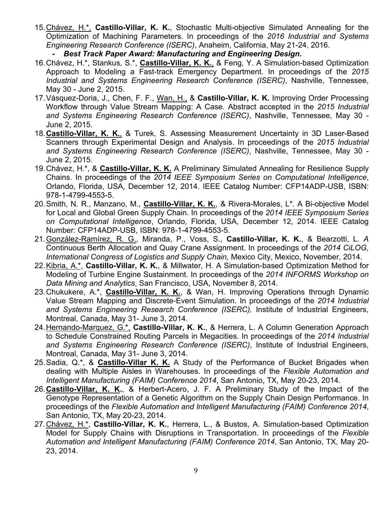- 15.Chávez, H.\*, **Castillo-Villar, K. K.**, Stochastic Multi-objective Simulated Annealing for the Optimization of Machining Parameters. In proceedings of the *2016 Industrial and Systems Engineering Research Conference (ISERC)*, Anaheim, California, May 21-24, 2016.
	- *- Best Track Paper Award: Manufacturing and Engineering Design.*
- 16.Chávez, H.\*, Stankus, S.\*, **Castillo-Villar, K. K.**, & Feng, Y. A Simulation-based Optimization Approach to Modeling a Fast-track Emergency Department. In proceedings of the *2015 Industrial and Systems Engineering Research Conference (ISERC)*, Nashville, Tennessee, May 30 - June 2, 2015.
- 17.Vásquez-Doria, J., Chen, F. F., Wan, H., & **Castillo-Villar, K. K.** Improving Order Processing Workflow through Value Stream Mapping: A Case. Abstract accepted in the *2015 Industrial and Systems Engineering Research Conference (ISERC)*, Nashville, Tennessee, May 30 - June 2, 2015.
- 18.**Castillo-Villar, K. K.**, & Turek, S. Assessing Measurement Uncertainty in 3D Laser-Based Scanners through Experimental Design and Analysis. In proceedings of the *2015 Industrial and Systems Engineering Research Conference (ISERC)*, Nashville, Tennessee, May 30 - June 2, 2015.
- 19.Chávez, H.\*, & **Castillo-Villar, K. K.** A Preliminary Simulated Annealing for Resilience Supply Chains. In proceedings of the *2014 IEEE Symposium Series on Computational Intelligence*, Orlando, Florida, USA, December 12, 2014. IEEE Catalog Number: CFP14ADP-USB, ISBN: 978-1-4799-4553-5.
- 20.Smith, N. R., Manzano, M., **Castillo-Villar, K. K.**, & Rivera-Morales, L\*. A Bi-objective Model for Local and Global Green Supply Chain. In proceedings of the *2014 IEEE Symposium Series on Computational Intelligence*, Orlando, Florida, USA, December 12, 2014. IEEE Catalog Number: CFP14ADP-USB, ISBN: 978-1-4799-4553-5.
- 21.González-Ramírez, R. G., Miranda, P., Voss, S., **Castillo-Villar, K. K.**, & Bearzotti, L. *A* Continuous Berth Allocation and Quay Crane Assignment. In proceedings of the *2014 CiLOG, International Congress of Logistics and Supply Chain,* Mexico City, Mexico, November, 2014.
- 22.Kibria, A.\*, **Castillo-Villar, K. K.**, & Millwater, H. A Simulation-based Optimization Method for Modeling of Turbine Engine Sustainment. In proceedings of the *2014 INFORMS Workshop on Data Mining and Analytics*, San Francisco, USA, November 8, 2014.
- 23.Chukukere, A.\*, **Castillo-Villar, K. K.**, & Wan, H. Improving Operations through Dynamic Value Stream Mapping and Discrete-Event Simulation. In proceedings of the *2014 Industrial and Systems Engineering Research Conference (ISERC),* Institute of Industrial Engineers, Montreal, Canada, May 31- June 3, 2014.
- 24.Hernando-Marquez, G.\*, **Castillo-Villar, K. K.**, & Herrera, L. A Column Generation Approach to Schedule Constrained Routing Parcels in Megacities. In proceedings of the *2014 Industrial and Systems Engineering Research Conference (ISERC)*, Institute of Industrial Engineers, Montreal, Canada, May 31- June 3, 2014.
- 25.Sadia, Q.\*, & **Castillo-Villar K. K.** A Study of the Performance of Bucket Brigades when dealing with Multiple Aisles in Warehouses. In proceedings of the *Flexible Automation and Intelligent Manufacturing (FAIM) Conference 2014*, San Antonio, TX, May 20-23, 2014.
- 26.**Castillo-Villar, K. K.**, & Herbert-Acero, J. F. A Preliminary Study of the Impact of the Genotype Representation of a Genetic Algorithm on the Supply Chain Design Performance. In proceedings of the *Flexible Automation and Intelligent Manufacturing (FAIM) Conference 2014*, San Antonio, TX, May 20-23, 2014.
- 27.Chávez, H.\*, **Castillo-Villar, K. K.**, Herrera, L., & Bustos, A. Simulation-based Optimization Model for Supply Chains with Disruptions in Transportation. In proceedings of the *Flexible Automation and Intelligent Manufacturing (FAIM) Conference 2014*, San Antonio, TX, May 20- 23, 2014.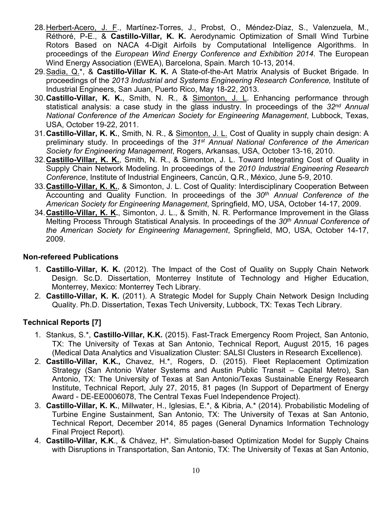- 28. Herbert-Acero, J. F., Martínez-Torres, J., Probst, O., Méndez-Díaz, S., Valenzuela, M., Réthoré, P-E., & **Castillo-Villar, K. K.** Aerodynamic Optimization of Small Wind Turbine Rotors Based on NACA 4-Digit Airfoils by Computational Intelligence Algorithms. In proceedings of the *European Wind Energy Conference and Exhibition 2014*. The European Wind Energy Association (EWEA), Barcelona, Spain. March 10-13, 2014.
- 29.Sadia, Q.\*, & **Castillo-Villar K. K.** A State-of-the-Art Matrix Analysis of Bucket Brigade. In proceedings of the *2013 Industrial and Systems Engineering Research Conference,* Institute of Industrial Engineers, San Juan, Puerto Rico, May 18-22, 2013.
- 30.**Castillo-Villar, K. K.**, Smith, N. R., & Simonton, J. L. Enhancing performance through statistical analysis: a case study in the glass industry. In proceedings of the *32nd Annual National Conference of the American Society for Engineering Management*, Lubbock, Texas, USA, October 19-22, 2011.
- 31.**Castillo-Villar, K. K.**, Smith, N. R., & Simonton, J. L. Cost of Quality in supply chain design: A preliminary study. In proceedings of the *31st Annual National Conference of the American Society for Engineering Management*, Rogers, Arkansas, USA, October 13-16, 2010.
- 32.**Castillo-Villar, K. K.**, Smith, N. R., & Simonton, J. L. Toward Integrating Cost of Quality in Supply Chain Network Modeling. In proceedings of the *2010 Industrial Engineering Research Conference*, Institute of Industrial Engineers, Cancún, Q.R., México, June 5-9, 2010.
- 33.**Castillo-Villar, K. K.**, & Simonton, J. L. Cost of Quality: Interdisciplinary Cooperation Between Accounting and Quality Function. In proceedings of the *30th Annual Conference of the American Society for Engineering Management*, Springfield, MO, USA, October 14-17, 2009.
- 34.**Castillo-Villar, K. K.**, Simonton, J. L., & Smith, N. R. Performance Improvement in the Glass Melting Process Through Statistical Analysis. In proceedings of the *30th Annual Conference of the American Society for Engineering Management*, Springfield, MO, USA, October 14-17, 2009.

### **Non-refereed Publications**

- 1. **Castillo-Villar, K. K.** (2012). The Impact of the Cost of Quality on Supply Chain Network Design. Sc.D. Dissertation, Monterrey Institute of Technology and Higher Education, Monterrey, Mexico: Monterrey Tech Library.
- 2. **Castillo-Villar, K. K.** (2011). A Strategic Model for Supply Chain Network Design Including Quality. Ph.D. Dissertation, Texas Tech University, Lubbock, TX: Texas Tech Library.

# **Technical Reports [7]**

- 1. Stankus, S.\*, **Castillo-Villar, K.K.** (2015). Fast-Track Emergency Room Project, San Antonio, TX: The University of Texas at San Antonio, Technical Report, August 2015, 16 pages (Medical Data Analytics and Visualization Cluster: SALSI Clusters in Research Excellence).
- 2. **Castillo-Villar, K.K.,** Chavez, H.\*, Rogers, D. (2015). Fleet Replacement Optimization Strategy (San Antonio Water Systems and Austin Public Transit – Capital Metro), San Antonio, TX: The University of Texas at San Antonio/Texas Sustainable Energy Research Institute, Technical Report, July 27, 2015, 81 pages (In Support of Department of Energy Award - DE-EE0006078, The Central Texas Fuel Independence Project).
- 3. **Castillo-Villar, K. K.**, Millwater, H., Iglesias, E.\*, & Kibria, A.\* (2014). Probabilistic Modeling of Turbine Engine Sustainment, San Antonio, TX: The University of Texas at San Antonio, Technical Report, December 2014, 85 pages (General Dynamics Information Technology Final Project Report).
- 4. **Castillo-Villar, K.K**., & Chávez, H\*. Simulation-based Optimization Model for Supply Chains with Disruptions in Transportation, San Antonio, TX: The University of Texas at San Antonio,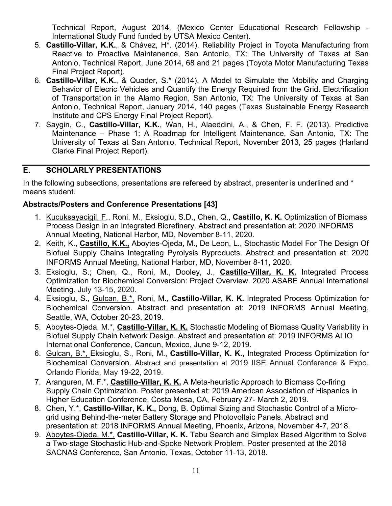Technical Report, August 2014, (Mexico Center Educational Research Fellowship - International Study Fund funded by UTSA Mexico Center).

- 5. **Castillo-Villar, K.K.**, & Chávez, H\*. (2014). Reliability Project in Toyota Manufacturing from Reactive to Proactive Maintanence, San Antonio, TX: The University of Texas at San Antonio, Technical Report, June 2014, 68 and 21 pages (Toyota Motor Manufacturing Texas Final Project Report).
- 6. **Castillo-Villar, K.K.**, & Quader, S.\* (2014). A Model to Simulate the Mobility and Charging Behavior of Elecric Vehicles and Quantify the Energy Required from the Grid. Electrification of Transportation in the Alamo Region, San Antonio, TX: The University of Texas at San Antonio, Technical Report, January 2014, 140 pages (Texas Sustainable Energy Research Institute and CPS Energy Final Project Report).
- 7. Saygin, C., **Castillo-Villar, K.K.**, Wan, H., Alaeddini, A., & Chen, F. F. (2013). Predictive Maintenance – Phase 1: A Roadmap for Intelligent Maintenance, San Antonio, TX: The University of Texas at San Antonio, Technical Report, November 2013, 25 pages (Harland Clarke Final Project Report).

# <span id="page-11-0"></span>**E. SCHOLARLY PRESENTATIONS**

In the following subsections, presentations are refereed by abstract, presenter is underlined and \* means student.

# **Abstracts/Posters and Conference Presentations [43]**

- 1. Kucuksayacigil, F., Roni, M., Eksioglu, S.D., Chen, Q., **Castillo, K. K.** Optimization of Biomass Process Design in an Integrated Biorefinery. Abstract and presentation at: 2020 INFORMS Annual Meeting, National Harbor, MD, November 8-11, 2020.
- 2. Keith, K., **Castillo, K.K.,** Aboytes-Ojeda, M., De Leon, L., Stochastic Model For The Design Of Biofuel Supply Chains Integrating Pyrolysis Byproducts. Abstract and presentation at: 2020 INFORMS Annual Meeting, National Harbor, MD, November 8-11, 2020.
- 3. Eksioglu, S.; Chen, Q., Roni, M., Dooley, J., **Castillo-Villar, K. K.** Integrated Process Optimization for Biochemical Conversion: Project Overview. 2020 ASABE Annual International Meeting. July 13-15, 2020.
- 4. Eksioglu, S., Gulcan, B.\*, Roni, M., **Castillo-Villar, K. K.** Integrated Process Optimization for Biochemical Conversion. Abstract and presentation at: 2019 INFORMS Annual Meeting, Seattle, WA, October 20-23, 2019.
- 5. Aboytes-Ojeda, M.\*, **Castillo-Villar, K. K.** Stochastic Modeling of Biomass Quality Variability in Biofuel Supply Chain Network Design. Abstract and presentation at: 2019 INFORMS ALIO International Conference, Cancun, Mexico, June 9-12, 2019.
- 6. Gulcan, B.\*, Eksioglu, S., Roni, M., **Castillo-Villar, K. K.,** Integrated Process Optimization for Biochemical Conversion. Abstract and presentation at 2019 IISE Annual Conference & Expo. Orlando Florida, May 19-22, 2019.
- 7. Aranguren, M. F.\*, **Castillo-Villar, K. K.** A Meta-heuristic Approach to Biomass Co-firing Supply Chain Optimization. Poster presented at: 2019 American Association of Hispanics in Higher Education Conference, Costa Mesa, CA, February 27- March 2, 2019.
- 8. Chen, Y.\*, **Castillo-Villar, K. K.,** Dong, B. Optimal Sizing and Stochastic Control of a Microgrid using Behind-the-meter Battery Storage and Photovoltaic Panels. Abstract and presentation at: 2018 INFORMS Annual Meeting, Phoenix, Arizona, November 4-7, 2018.
- 9. Aboytes-Ojeda, M.\*, **Castillo-Villar, K. K.** Tabu Search and Simplex Based Algorithm to Solve a Two-stage Stochastic Hub-and-Spoke Network Problem. Poster presented at the 2018 SACNAS Conference, San Antonio, Texas, October 11-13, 2018.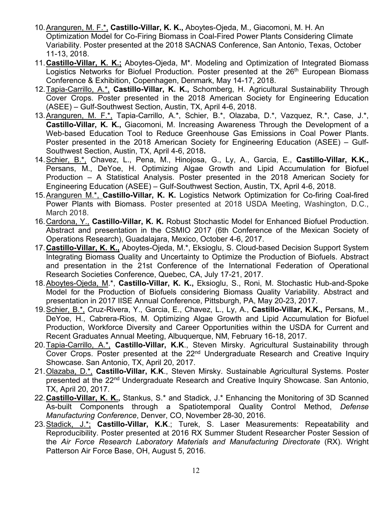- 10.Aranguren, M. F.\*, **Castillo-Villar, K. K.,** Aboytes-Ojeda, M., Giacomoni, M. H. An Optimization Model for Co-Firing Biomass in Coal-Fired Power Plants Considering Climate Variability. Poster presented at the 2018 SACNAS Conference, San Antonio, Texas, October 11-13, 2018.
- 11.**Castillo-Villar, K. K.;** Aboytes-Ojeda, M\*. Modeling and Optimization of Integrated Biomass Logistics Networks for Biofuel Production. Poster presented at the 26<sup>th</sup> European Biomass Conference & Exhibition, Copenhagen, Denmark, May 14-17, 2018.
- 12.Tapia-Carrillo, A.\*, **Castillo-Villar, K. K.,** Schomberg, H. Agricultural Sustainability Through Cover Crops. Poster presented in the 2018 American Society for Engineering Education (ASEE) – Gulf-Southwest Section, Austin, TX, April 4-6, 2018.
- 13.Aranguren, M. F.\*, Tapia-Carrillo, A.\*, Schier, B.\*, Olazaba, D.\*, Vazquez, R.\*, Case, J.\*, **Castillo-Villar, K. K.,** Giacomoni, M. Increasing Awareness Through the Development of a Web-based Education Tool to Reduce Greenhouse Gas Emissions in Coal Power Plants. Poster presented in the 2018 American Society for Engineering Education (ASEE) – Gulf-Southwest Section, Austin, TX, April 4-6, 2018**.**
- 14.Schier, B.\*, Chavez, L., Pena, M., Hinojosa, G., Ly, A., Garcia, E., **Castillo-Villar, K.K.,**  Persans, M., DeYoe, H. Optimizing Algae Growth and Lipid Accumulation for Biofuel Production – A Statistical Analysis. Poster presented in the 2018 American Society for Engineering Education (ASEE) – Gulf-Southwest Section, Austin, TX, April 4-6, 2018.
- 15.Aranguren M.\*, **Castillo-Villar, K. K.** Logistics Network Optimization for Co-firing Coal-fired Power Plants with Biomass. Poster presented at 2018 USDA Meeting, Washington, D.C., March 2018.
- 16.Cardona, Y., **Castillo-Villar, K. K.** Robust Stochastic Model for Enhanced Biofuel Production. Abstract and presentation in the CSMIO 2017 (6th Conference of the Mexican Society of Operations Research), Guadalajara, Mexico, October 4-6, 2017.
- 17.**Castillo-Villar, K. K.,** Aboytes-Ojeda, M.\*, Eksioglu, S. Cloud-based Decision Support System Integrating Biomass Quality and Uncertainty to Optimize the Production of Biofuels. Abstract and presentation in the 21st Conference of the International Federation of Operational Research Societies Conference, Quebec, CA, July 17-21, 2017.
- 18.Aboytes-Ojeda, M.\*, **Castillo-Villar, K. K.,** Eksioglu, S., Roni, M. Stochastic Hub-and-Spoke Model for the Production of Biofuels considering Biomass Quality Variability. Abstract and presentation in 2017 IISE Annual Conference, Pittsburgh, PA, May 20-23, 2017.
- 19.Schier, B.\*, Cruz-Rivera, Y., Garcia, E., Chavez, L., Ly, A., **Castillo-Villar, K.K.,** Persans, M., DeYoe, H., Cabrera-Rios, M. Optimizing Algae Growth and Lipid Accumulation for Biofuel Production, Workforce Diversity and Career Opportunities within the USDA for Current and Recent Graduates Annual Meeting, Albuquerque, NM, February 16-18, 2017.
- 20.Tapia-Carrillo, A.\*, **Castillo-Villar, K.K**., Steven Mirsky. Agricultural Sustainability through Cover Crops. Poster presented at the 22<sup>nd</sup> Undergraduate Research and Creative Inquiry Showcase. San Antonio, TX, April 20, 2017.
- 21.Olazaba, D.\*, **Castillo-Villar, K.K**., Steven Mirsky. Sustainable Agricultural Systems. Poster presented at the 22<sup>nd</sup> Undergraduate Research and Creative Inquiry Showcase. San Antonio, TX, April 20, 2017.
- 22.**Castillo-Villar, K. K.,** Stankus, S.\* and Stadick, J.\* Enhancing the Monitoring of 3D Scanned As-built Components through a Spatiotemporal Quality Control Method, *Defense Manufacturing Conference*, Denver, CO, November 28-30, 2016.
- 23.Stadick, J.\*; **Castillo-Villar, K.K**.; Turek, S. Laser Measurements: Repeatability and Reproducibility. Poster presented at 2016 RX Summer Student Researcher Poster Session of the *Air Force Research Laboratory Materials and Manufacturing Directorate* (RX). Wright Patterson Air Force Base, OH, August 5, 2016.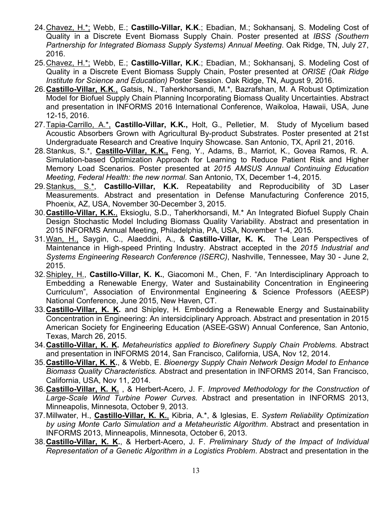- 24.Chavez, H.\*; Webb, E.; **Castillo-Villar, K.K**.; Ebadian, M.; Sokhansanj, S. Modeling Cost of Quality in a Discrete Event Biomass Supply Chain. Poster presented at *IBSS (Southern Partnership for Integrated Biomass Supply Systems) Annual Meeting*. Oak Ridge, TN, July 27, 2016.
- 25.Chavez, H.\*; Webb, E.; **Castillo-Villar, K.K**.; Ebadian, M.; Sokhansanj, S. Modeling Cost of Quality in a Discrete Event Biomass Supply Chain, Poster presented at *ORISE (Oak Ridge Institute for Science and Education)* Poster Session. Oak Ridge, TN, August 9, 2016.
- 26.**Castillo-Villar, K.K**., Gatsis, N., Taherkhorsandi, M.\*, Bazrafshan, M. A Robust Optimization Model for Biofuel Supply Chain Planning Incorporating Biomass Quality Uncertainties. Abstract and presentation in INFORMS 2016 International Conference, Waikoloa, Hawaii, USA, June 12-15, 2016.
- 27.Tapia-Carrillo, A.\*, **Castillo-Villar, K.K.,** Holt, G., Pelletier, M. Study of Mycelium based Acoustic Absorbers Grown with Agricultural By-product Substrates. Poster presented at 21st Undergraduate Research and Creative Inquiry Showcase. San Antonio, TX, April 21, 2016.
- 28.Stankus, S.\*, **Castillo-Villar, K.K.,** Feng, Y., Adams, B., Marriot, K., Govea Ramos, R. A. Simulation-based Optimization Approach for Learning to Reduce Patient Risk and Higher Memory Load Scenarios. Poster presented at *2015 AMSUS Annual Continuing Education Meeting, Federal Health: the new normal*. San Antonio, TX, December 1-4, 2015.
- 29.Stankus, S.\*, **Castillo-Villar, K.K.** Repeatability and Reproducibility of 3D Laser Measurements. Abstract and presentation in Defense Manufacturing Conference 2015, Phoenix, AZ, USA, November 30-December 3, 2015.
- 30.**Castillo-Villar, K.K.**, Eksioglu, S.D., Taherkhorsandi, M.\* An Integrated Biofuel Supply Chain Design Stochastic Model Including Biomass Quality Variability. Abstract and presentation in 2015 INFORMS Annual Meeting, Philadelphia, PA, USA, November 1-4, 2015.
- 31.Wan, H., Saygin, C., Alaeddini, A., & **Castillo-Villar, K. K.** The Lean Perspectives of Maintenance in High-speed Printing Industry. Abstract accepted in the *2015 Industrial and Systems Engineering Research Conference (ISERC)*, Nashville, Tennessee, May 30 - June 2, 2015.
- 32.Shipley, H., **Castillo-Villar, K. K.**, Giacomoni M., Chen, F. "An Interdisciplinary Approach to Embedding a Renewable Energy, Water and Sustainability Concentration in Engineering Curriculum", Association of Environmental Engineering & Science Professors (AEESP) National Conference, June 2015, New Haven, CT.
- 33.**Castillo-Villar, K. K.** and Shipley, H. Embedding a Renewable Energy and Sustainability Concentration in Engineering: An intersidciplinary Approach. Abstract and presentation in 2015 American Society for Engineering Education (ASEE-GSW) Annual Conference, San Antonio, Texas, March 26, 2015.
- 34.**Castillo-Villar, K. K.** *Metaheuristics applied to Biorefinery Supply Chain Problems.* Abstract and presentation in INFORMS 2014, San Francisco, California, USA, Nov 12, 2014.
- 35.**Castillo-Villar, K. K.**, & Webb, E. *Bioenergy Supply Chain Network Design Model to Enhance Biomass Quality Characteristics.* Abstract and presentation in INFORMS 2014, San Francisco, California, USA, Nov 11, 2014.
- 36.**Castillo-Villar, K. K.** , & Herbert-Acero, J. F. *Improved Methodology for the Construction of Large-Scale Wind Turbine Power Curves.* Abstract and presentation in INFORMS 2013, Minneapolis, Minnesota, October 9, 2013.
- 37.Millwater, H., **Castillo-Villar, K. K.**, Kibria, A.\*, & Iglesias, E. *System Reliability Optimization by using Monte Carlo Simulation and a Metaheuristic Algorithm*. Abstract and presentation in INFORMS 2013, Minneapolis, Minnesota, October 6, 2013.
- 38.**Castillo-Villar, K. K.**, & Herbert-Acero, J. F. *Preliminary Study of the Impact of Individual Representation of a Genetic Algorithm in a Logistics Problem*. Abstract and presentation in the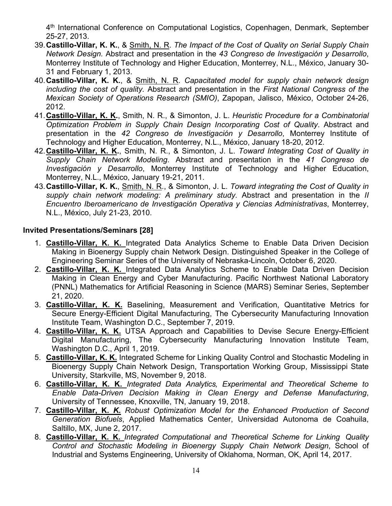4<sup>th</sup> International Conference on Computational Logistics, Copenhagen, Denmark, September 25-27, 2013.

- 39.**Castillo-Villar, K. K.**, & Smith, N. R. *The Impact of the Cost of Quality on Serial Supply Chain Network Design.* Abstract and presentation in the *43 Congreso de Investigación y Desarrollo*, Monterrey Institute of Technology and Higher Education, Monterrey, N.L., México, January 30- 31 and February 1, 2013.
- 40.**Castillo-Villar, K. K.**, & Smith, N. R. *Capacitated model for supply chain network design including the cost of quality.* Abstract and presentation in the *First National Congress of the Mexican Society of Operations Research (SMIO)*, Zapopan, Jalisco, México, October 24-26, 2012.
- 41.**Castillo-Villar, K. K.**, Smith, N. R., & Simonton, J. L. *Heuristic Procedure for a Combinatorial Optimization Problem in Supply Chain Design Incorporating Cost of Quality*. Abstract and presentation in the *42 Congreso de Investigación y Desarrollo*, Monterrey Institute of Technology and Higher Education, Monterrey, N.L., México, January 18-20, 2012.
- 42.**Castillo-Villar, K. K.**, Smith, N. R., & Simonton, J. L. *Toward Integrating Cost of Quality in Supply Chain Network Modeling*. Abstract and presentation in the *41 Congreso de Investigación y Desarrollo*, Monterrey Institute of Technology and Higher Education, Monterrey, N.L., México, January 19-21, 2011.
- 43.**Castillo-Villar, K. K.**, Smith, N. R., & Simonton, J. L. *Toward integrating the Cost of Quality in supply chain network modeling: A preliminary study*. Abstract and presentation in the *II Encuentro Iberoamericano de Investigación Operativa y Ciencias Administrativas*, Monterrey, N.L., México, July 21-23, 2010.

#### **Invited Presentations/Seminars [28]**

- 1. **Castillo-Villar, K. K.** Integrated Data Analytics Scheme to Enable Data Driven Decision Making in Bioenergy Supply chain Network Design. Distinguished Speaker in the College of Engineering Seminar Series of the University of Nebraska-Lincoln, October 6, 2020.
- 2. **Castillo-Villar, K. K.** Integrated Data Analytics Scheme to Enable Data Driven Decision Making in Clean Energy and Cyber Manufacturing. Pacific Northwest National Laboratory (PNNL) Mathematics for Artificial Reasoning in Science (MARS) Seminar Series, September 21, 2020.
- 3. **Castillo-Villar, K. K.** Baselining, Measurement and Verification, Quantitative Metrics for Secure Energy-Efficient Digital Manufacturing, The Cybersecurity Manufacturing Innovation Institute Team, Washington D.C., September 7, 2019.
- 4. **Castillo-Villar, K. K.** UTSA Approach and Capabilities to Devise Secure Energy-Efficient Digital Manufacturing, The Cybersecurity Manufacturing Innovation Institute Team, Washington D.C., April 1, 2019.
- 5. **Castillo-Villar, K. K.** Integrated Scheme for Linking Quality Control and Stochastic Modeling in Bioenergy Supply Chain Network Design, Transportation Working Group, Mississippi State University, Starkville, MS, November 9, 2018.
- 6. **Castillo-Villar, K. K.** *Integrated Data Analytics, Experimental and Theoretical Scheme to Enable Data-Driven Decision Making in Clean Energy and Defense Manufacturing*, University of Tennessee, Knoxville, TN, January 19, 2018.
- 7. **Castillo-Villar, K.** *K. Robust Optimization Model for the Enhanced Production of Second Generation Biofuels*, Applied Mathematics Center, Universidad Autonoma de Coahuila, Saltillo, MX, June 2, 2017.
- 8. **Castillo-Villar, K. K.** *Integrated Computational and Theoretical Scheme for Linking Quality Control and Stochastic Modeling in Bioenergy Supply Chain Network Design*, School of Industrial and Systems Engineering, University of Oklahoma, Norman, OK, April 14, 2017.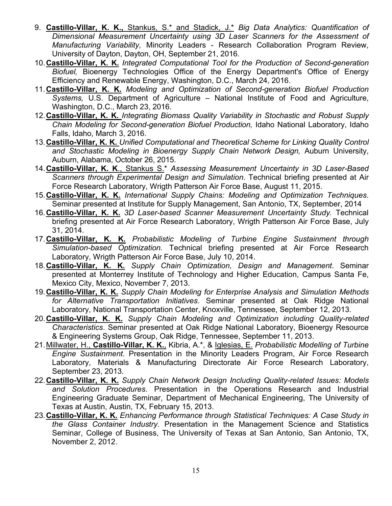- 9. **Castillo-Villar, K. K.,** Stankus, S.\* and Stadick, J.\* *Big Data Analytics: Quantification of Dimensional Measurement Uncertainty using 3D Laser Scanners for the Assessment of Manufacturing Variability,* Minority Leaders - Research Collaboration Program Review, University of Dayton, Dayton, OH, September 21, 2016.
- 10.**Castillo-Villar, K. K.** *Integrated Computational Tool for the Production of Second-generation Biofuel,* Bioenergy Technologies Office of the Energy Department's Office of Energy Efficiency and Renewable Energy, Washington, D.C., March 24, 2016.
- 11.**Castillo-Villar, K. K.** *Modeling and Optimization of Second-generation Biofuel Production Systems,* U.S. Department of Agriculture – National Institute of Food and Agriculture, Washington, D.C., March 23, 2016.
- 12.**Castillo-Villar, K. K.** *Integrating Biomass Quality Variability in Stochastic and Robust Supply Chain Modeling for Second-generation Biofuel Production,* Idaho National Laboratory, Idaho Falls, Idaho, March 3, 2016.
- 13.**Castillo-Villar, K. K.** *Unified Computational and Theoretical Scheme for Linking Quality Control*  and Stochastic Modeling in Bioenergy Supply Chain Network Design, Auburn University, Auburn, Alabama, October 26, 2015.
- 14.**Castillo-Villar, K. K**., Stankus S.\* *Assessing Measurement Uncertainty in 3D Laser-Based Scanners through Experimental Design and Simulation*. Technical briefing presented at Air Force Research Laboratory, Wrigth Patterson Air Force Base, August 11, 2015.
- 15.**Castillo-Villar, K. K.** *International Supply Chains: Modeling and Optimization Techniques*. Seminar presented at Institute for Supply Management, San Antonio, TX, September, 2014
- 16.**Castillo-Villar, K. K.** *3D Laser-based Scanner Measurement Uncertainty Study.* Technical briefing presented at Air Force Research Laboratory, Wrigth Patterson Air Force Base, July 31, 2014.
- 17.**Castillo-Villar, K. K.** *Probabilistic Modeling of Turbine Engine Sustainment through Simulation-based Optimization.* Technical briefing presented at Air Force Research Laboratory, Wrigth Patterson Air Force Base, July 10, 2014.
- 18.**Castillo-Villar, K. K.** *Supply Chain Optimization, Design and Management*. Seminar presented at Monterrey Institute of Technology and Higher Education, Campus Santa Fe, Mexico City, Mexico, November 7, 2013.
- 19.**Castillo-Villar, K. K.** *Supply Chain Modeling for Enterprise Analysis and Simulation Methods for Alternative Transportation Initiatives*. Seminar presented at Oak Ridge National Laboratory, National Transportation Center, Knoxville, Tennessee, September 12, 2013.
- 20.**Castillo-Villar, K. K.** *Supply Chain Modeling and Optimization including Quality-related Characteristics*. Seminar presented at Oak Ridge National Laboratory, Bioenergy Resource & Engineering Systems Group, Oak Ridge, Tennessee, September 11, 2013.
- 21.Millwater, H., **Castillo-Villar, K. K.**, Kibria, A.\*, & Iglesias, E. *Probabilistic Modelling of Turbine Engine Sustainment*. Presentation in the Minority Leaders Program, Air Force Research Laboratory, Materials & Manufacturing Directorate Air Force Research Laboratory, September 23, 2013.
- 22.**Castillo-Villar, K. K.** *Supply Chain Network Design Including Quality-related Issues: Models and Solution Procedures*. Presentation in the Operations Research and Industrial Engineering Graduate Seminar, Department of Mechanical Engineering, The University of Texas at Austin, Austin, TX, February 15, 2013.
- 23.**Castillo-Villar, K. K.** *Enhancing Performance through Statistical Techniques: A Case Study in the Glass Container Industry*. Presentation in the Management Science and Statistics Seminar, College of Business, The University of Texas at San Antonio, San Antonio, TX, November 2, 2012.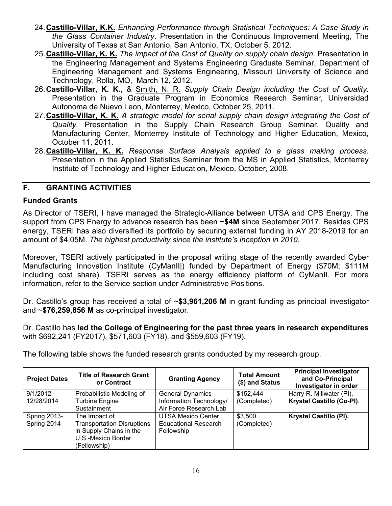- 24.**Castillo-Villar, K.K.** *Enhancing Performance through Statistical Techniques: A Case Study in the Glass Container Industry*. Presentation in the Continuous Improvement Meeting, The University of Texas at San Antonio, San Antonio, TX, October 5, 2012.
- 25.**Castillo-Villar, K. K.** *The impact of the Cost of Quality on supply chain design*. Presentation in the Engineering Management and Systems Engineering Graduate Seminar, Department of Engineering Management and Systems Engineering, Missouri University of Science and Technology, Rolla, MO, March 12, 2012.
- 26.**Castillo-Villar, K. K.**, & Smith, N. R. *Supply Chain Design including the Cost of Quality.* Presentation in the Graduate Program in Economics Research Seminar, Universidad Autonoma de Nuevo Leon, Monterrey, Mexico, October 25, 2011.
- 27.**Castillo-Villar, K. K.** *A strategic model for serial supply chain design integrating the Cost of Quality.* Presentation in the Supply Chain Research Group Seminar, Quality and Manufacturing Center, Monterrey Institute of Technology and Higher Education, Mexico, October 11, 2011.
- 28.**Castillo-Villar, K. K.** *Response Surface Analysis applied to a glass making process.* Presentation in the Applied Statistics Seminar from the MS in Applied Statistics, Monterrey Institute of Technology and Higher Education, Mexico, October, 2008.

#### <span id="page-16-0"></span>**F. GRANTING ACTIVITIES**

#### **Funded Grants**

As Director of TSERI, I have managed the Strategic-Alliance between UTSA and CPS Energy. The support from CPS Energy to advance research has been **~\$4M** since September 2017. Besides CPS energy, TSERI has also diversified its portfolio by securing external funding in AY 2018-2019 for an amount of \$4.05M. *The highest productivity since the institute's inception in 2010.*

Moreover, TSERI actively participated in the proposal writing stage of the recently awarded Cyber Manufacturing Innovation Institute (CyManII|) funded by Department of Energy (\$70M; \$111M including cost share). TSERI serves as the energy efficiency platform of CyManII. For more information, refer to the Service section under Administrative Positions.

Dr. Castillo's group has received a total of ~**\$3,961,206 M** in grant funding as principal investigator and ~**\$76,259,856 M** as co-principal investigator.

Dr. Castillo has **led the College of Engineering for the past three years in research expenditures** with \$692,241 (FY2017), \$571,603 (FY18), and \$559,603 (FY19).

The following table shows the funded research grants conducted by my research group.

| <b>Project Dates</b> | <b>Title of Research Grant</b><br>or Contract | <b>Granting Agency</b>      | <b>Total Amount</b><br>(\$) and Status | <b>Principal Investigator</b><br>and Co-Principal<br>Investigator in order |
|----------------------|-----------------------------------------------|-----------------------------|----------------------------------------|----------------------------------------------------------------------------|
| $9/1/2012$ -         | Probabilistic Modeling of                     | <b>General Dynamics</b>     | \$152,444                              | Harry R. Millwater (PI),                                                   |
| 12/28/2014           | <b>Turbine Engine</b>                         | Information Technology/     | (Completed)                            | Krystel Castillo (Co-PI).                                                  |
|                      | Sustainment                                   | Air Force Research Lab      |                                        |                                                                            |
| Spring 2013-         | The Impact of                                 | <b>UTSA Mexico Center</b>   | \$3,500                                | Krystel Castillo (PI).                                                     |
| Spring 2014          | <b>Transportation Disruptions</b>             | <b>Educational Research</b> | (Completed)                            |                                                                            |
|                      | in Supply Chains in the                       | Fellowship                  |                                        |                                                                            |
|                      | U.S.-Mexico Border                            |                             |                                        |                                                                            |
|                      | (Fellowship)                                  |                             |                                        |                                                                            |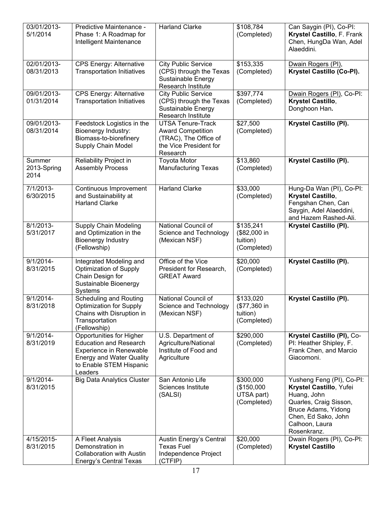| 03/01/2013-<br>5/1/2014       | Predictive Maintenance -<br>Phase 1: A Roadmap for<br>Intelligent Maintenance                                                                                        | <b>Harland Clarke</b>                                                                                               | \$108,784<br>(Completed)                             | Can Saygin (PI), Co-PI:<br>Krystel Castillo, F. Frank<br>Chen, HungDa Wan, Adel<br>Alaeddini.                                                                                |
|-------------------------------|----------------------------------------------------------------------------------------------------------------------------------------------------------------------|---------------------------------------------------------------------------------------------------------------------|------------------------------------------------------|------------------------------------------------------------------------------------------------------------------------------------------------------------------------------|
| 02/01/2013-<br>08/31/2013     | <b>CPS Energy: Alternative</b><br><b>Transportation Initiatives</b>                                                                                                  | <b>City Public Service</b><br>(CPS) through the Texas<br>Sustainable Energy<br>Research Institute                   | \$153,335<br>(Completed)                             | Dwain Rogers (PI),<br>Krystel Castillo (Co-PI).                                                                                                                              |
| 09/01/2013-<br>01/31/2014     | <b>CPS Energy: Alternative</b><br><b>Transportation Initiatives</b>                                                                                                  | <b>City Public Service</b><br>(CPS) through the Texas<br>Sustainable Energy<br>Research Institute                   | \$397,774<br>(Completed)                             | Dwain Rogers (PI), Co-PI:<br>Krystel Castillo,<br>Donghoon Han.                                                                                                              |
| 09/01/2013-<br>08/31/2014     | Feedstock Logistics in the<br>Bioenergy Industry:<br>Biomass-to-biorefinery<br><b>Supply Chain Model</b>                                                             | <b>UTSA Tenure-Track</b><br><b>Award Competition</b><br>(TRAC), The Office of<br>the Vice President for<br>Research | \$27,500<br>(Completed)                              | Krystel Castillo (PI).                                                                                                                                                       |
| Summer<br>2013-Spring<br>2014 | Reliability Project in<br><b>Assembly Process</b>                                                                                                                    | <b>Toyota Motor</b><br><b>Manufacturing Texas</b>                                                                   | \$13,860<br>(Completed)                              | Krystel Castillo (PI).                                                                                                                                                       |
| 7/1/2013-<br>6/30/2015        | Continuous Improvement<br>and Sustainability at<br><b>Harland Clarke</b>                                                                                             | <b>Harland Clarke</b>                                                                                               | \$33,000<br>(Completed)                              | Hung-Da Wan (PI), Co-PI:<br>Krystel Castillo,<br>Fengshan Chen, Can<br>Saygin, Adel Alaeddini,<br>and Hazem Rashed-Ali.                                                      |
| 8/1/2013-<br>5/31/2017        | <b>Supply Chain Modeling</b><br>and Optimization in the<br><b>Bioenergy Industry</b><br>(Fellowship)                                                                 | National Council of<br>Science and Technology<br>(Mexican NSF)                                                      | \$135,241<br>(\$82,000 in<br>tuition)<br>(Completed) | Krystel Castillo (PI).                                                                                                                                                       |
| $9/1/2014-$<br>8/31/2015      | Integrated Modeling and<br><b>Optimization of Supply</b><br>Chain Design for<br>Sustainable Bioenergy<br>Systems                                                     | Office of the Vice<br>President for Research,<br><b>GREAT Award</b>                                                 | \$20,000<br>(Completed)                              | Krystel Castillo (PI).                                                                                                                                                       |
| 9/1/2014-<br>8/31/2018        | <b>Scheduling and Routing</b><br><b>Optimization for Supply</b><br>Chains with Disruption in<br>Transportation<br>(Fellowship)                                       | National Council of<br>Science and Technology<br>(Mexican NSF)                                                      | \$133,020<br>(\$77,360 in<br>tuition)<br>(Completed) | Krystel Castillo (PI).                                                                                                                                                       |
| $9/1/2014 -$<br>8/31/2019     | Opportunities for Higher<br><b>Education and Research</b><br><b>Experience in Renewable</b><br><b>Energy and Water Quality</b><br>to Enable STEM Hispanic<br>Leaders | U.S. Department of<br>Agriculture/National<br>Institute of Food and<br>Agriculture                                  | \$290,000<br>(Completed)                             | Krystel Castillo (PI), Co-<br>PI: Heather Shipley, F.<br>Frank Chen, and Marcio<br>Giacomoni.                                                                                |
| $9/1/2014 -$<br>8/31/2015     | <b>Big Data Analytics Cluster</b>                                                                                                                                    | San Antonio Life<br>Sciences Institute<br>(SALSI)                                                                   | \$300,000<br>(\$150,000<br>UTSA part)<br>(Completed) | Yusheng Feng (PI), Co-PI:<br>Krystel Castillo, Yufei<br>Huang, John<br>Quarles, Craig Sisson,<br>Bruce Adams, Yidong<br>Chen, Ed Sako, John<br>Calhoon, Laura<br>Rosenkranz. |
| 4/15/2015-<br>8/31/2015       | A Fleet Analysis<br>Demonstration in<br><b>Collaboration with Austin</b><br>Energy's Central Texas                                                                   | Austin Energy's Central<br><b>Texas Fuel</b><br>Independence Project<br>(CTFIP)                                     | \$20,000<br>(Completed)                              | Dwain Rogers (PI), Co-PI:<br><b>Krystel Castillo</b>                                                                                                                         |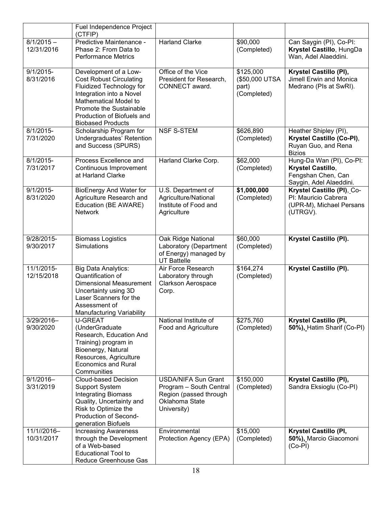|                            | Fuel Independence Project<br>(CTFIP)                                                                                                                                                                                          |                                                                                                                  |                                                     |                                                                                                |
|----------------------------|-------------------------------------------------------------------------------------------------------------------------------------------------------------------------------------------------------------------------------|------------------------------------------------------------------------------------------------------------------|-----------------------------------------------------|------------------------------------------------------------------------------------------------|
| $8/1/2015 -$<br>12/31/2016 | Predictive Maintenance -<br>Phase 2: From Data to<br><b>Performance Metrics</b>                                                                                                                                               | <b>Harland Clarke</b>                                                                                            | \$90,000<br>(Completed)                             | Can Saygin (PI), Co-PI:<br>Krystel Castillo, HungDa<br>Wan, Adel Alaeddini.                    |
| $9/1/2015 -$<br>8/31/2016  | Development of a Low-<br><b>Cost Robust Circulating</b><br>Fluidized Technology for<br>Integration into a Novel<br>Mathematical Model to<br>Promote the Sustainable<br>Production of Biofuels and<br><b>Biobased Products</b> | Office of the Vice<br>President for Research,<br>CONNECT award.                                                  | \$125,000<br>(\$50,000 UTSA<br>part)<br>(Completed) | Krystel Castillo (PI),<br>Jimell Erwin and Monica<br>Medrano (PIs at SwRI).                    |
| 8/1/2015-<br>7/31/2020     | Scholarship Program for<br>Undergraduates' Retention<br>and Success (SPURS)                                                                                                                                                   | <b>NSF S-STEM</b>                                                                                                | \$626,890<br>(Completed)                            | Heather Shipley (PI),<br>Krystel Castillo (Co-Pl),<br>Ruyan Guo, and Rena<br><b>Bizios</b>     |
| 8/1/2015-<br>7/31/2017     | Process Excellence and<br>Continuous Improvement<br>at Harland Clarke                                                                                                                                                         | Harland Clarke Corp.                                                                                             | \$62,000<br>(Completed)                             | Hung-Da Wan (PI), Co-PI:<br>Krystel Castillo,<br>Fengshan Chen, Can<br>Saygin, Adel Alaeddini. |
| $9/1/2015$ -<br>8/31/2020  | <b>BioEnergy And Water for</b><br>Agriculture Research and<br>Education (BE AWARE)<br><b>Network</b>                                                                                                                          | U.S. Department of<br>Agriculture/National<br>Institute of Food and<br>Agriculture                               | \$1,000,000<br>(Completed)                          | Krystel Castillo (PI), Co-<br>PI: Mauricio Cabrera<br>(UPR-M), Michael Persans<br>(UTRGV).     |
| 9/28/2015-<br>9/30/2017    | <b>Biomass Logistics</b><br>Simulations                                                                                                                                                                                       | Oak Ridge National<br>Laboratory (Department<br>of Energy) managed by<br><b>UT Battelle</b>                      | \$60,000<br>(Completed)                             | Krystel Castillo (PI).                                                                         |
| 11/1/2015-<br>12/15/2018   | <b>Big Data Analytics:</b><br>Quantification of<br><b>Dimensional Measurement</b><br>Uncertainty using 3D<br>Laser Scanners for the<br>Assessment of<br><b>Manufacturing Variability</b>                                      | Air Force Research<br>Laboratory through<br><b>Clarkson Aerospace</b><br>Corp.                                   | \$164,274<br>(Completed)                            | Krystel Castillo (PI).                                                                         |
| 3/29/2016-<br>9/30/2020    | <b>U-GREAT</b><br>(UnderGraduate<br>Research, Education And<br>Training) program in<br>Bioenergy, Natural<br>Resources, Agriculture<br><b>Economics and Rural</b><br>Communities                                              | National Institute of<br>Food and Agriculture                                                                    | \$275,760<br>(Completed)                            | Krystel Castillo (PI,<br>50%), Hatim Sharif (Co-PI)                                            |
| $9/1/2016 -$<br>3/31/2019  | <b>Cloud-based Decision</b><br><b>Support System</b><br><b>Integrating Biomass</b><br>Quality, Uncertainty and<br>Risk to Optimize the<br>Production of Second-<br>generation Biofuels                                        | <b>USDA/NIFA Sun Grant</b><br>Program - South Central<br>Region (passed through<br>Oklahoma State<br>University) | \$150,000<br>(Completed)                            | Krystel Castillo (PI),<br>Sandra Eksioglu (Co-PI)                                              |
| 11/1//2016-<br>10/31/2017  | <b>Increasing Awareness</b><br>through the Development<br>of a Web-based<br><b>Educational Tool to</b><br>Reduce Greenhouse Gas                                                                                               | Environmental<br>Protection Agency (EPA)                                                                         | \$15,000<br>(Completed)                             | Krystel Castillo (PI,<br>50%), Marcio Giacomoni<br>$(Co-PI)$                                   |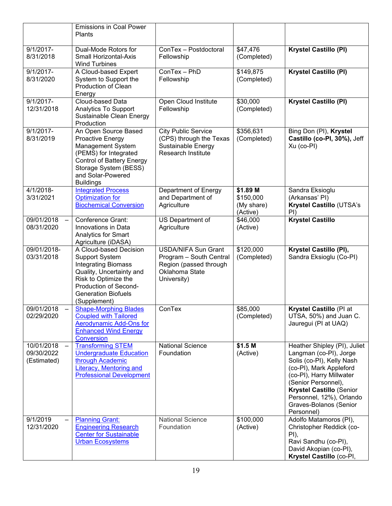|                                         | <b>Emissions in Coal Power</b><br>Plants                                                                                                                                                                 |                                                                                                                  |                                                 |                                                                                                                                                                                                                                                                          |
|-----------------------------------------|----------------------------------------------------------------------------------------------------------------------------------------------------------------------------------------------------------|------------------------------------------------------------------------------------------------------------------|-------------------------------------------------|--------------------------------------------------------------------------------------------------------------------------------------------------------------------------------------------------------------------------------------------------------------------------|
| $9/1/2017 -$<br>8/31/2018               | Dual-Mode Rotors for<br>Small Horizontal-Axis<br><b>Wind Turbines</b>                                                                                                                                    | ConTex - Postdoctoral<br>Fellowship                                                                              | \$47,476<br>(Completed)                         | <b>Krystel Castillo (PI)</b>                                                                                                                                                                                                                                             |
| $9/1/2017 -$<br>8/31/2020               | A Cloud-based Expert<br>System to Support the<br>Production of Clean<br>Energy                                                                                                                           | ConTex - PhD<br>Fellowship                                                                                       | \$149,875<br>(Completed)                        | <b>Krystel Castillo (PI)</b>                                                                                                                                                                                                                                             |
| $9/1/2017 -$<br>12/31/2018              | Cloud-based Data<br><b>Analytics To Support</b><br>Sustainable Clean Energy<br>Production                                                                                                                | Open Cloud Institute<br>Fellowship                                                                               | \$30,000<br>(Completed)                         | <b>Krystel Castillo (PI)</b>                                                                                                                                                                                                                                             |
| $9/1/2017 -$<br>8/31/2019               | An Open Source Based<br>Proactive Energy<br>Management System<br>(PEMS) for Integrated<br><b>Control of Battery Energy</b><br>Storage System (BESS)<br>and Solar-Powered<br><b>Buildings</b>             | <b>City Public Service</b><br>(CPS) through the Texas<br>Sustainable Energy<br><b>Research Institute</b>         | \$356,631<br>(Completed)                        | Bing Don (PI), Krystel<br>Castillo (co-Pl, 30%), Jeff<br>Xu (co-PI)                                                                                                                                                                                                      |
| 4/1/2018-<br>3/31/2021                  | <b>Integrated Process</b><br><b>Optimization for</b><br><b>Biochemical Conversion</b>                                                                                                                    | Department of Energy<br>and Department of<br>Agriculture                                                         | \$1.89 M<br>\$150,000<br>(My share)<br>(Active) | Sandra Eksioglu<br>(Arkansas' PI)<br>Krystel Castillo (UTSA's<br>P()                                                                                                                                                                                                     |
| 09/01/2018<br>08/31/2020                | Conference Grant:<br>Innovations in Data<br><b>Analytics for Smart</b><br>Agriculture (iDASA)                                                                                                            | <b>US Department of</b><br>Agriculture                                                                           | \$46,000<br>(Active)                            | <b>Krystel Castillo</b>                                                                                                                                                                                                                                                  |
| 09/01/2018-<br>03/31/2018               | A Cloud-based Decision<br><b>Support System</b><br><b>Integrating Biomass</b><br>Quality, Uncertainty and<br>Risk to Optimize the<br>Production of Second-<br><b>Generation Biofuels</b><br>(Supplement) | <b>USDA/NIFA Sun Grant</b><br>Program - South Central<br>Region (passed through<br>Oklahoma State<br>University) | \$120,000<br>(Completed)                        | Krystel Castillo (PI),<br>Sandra Eksioglu (Co-PI)                                                                                                                                                                                                                        |
| 09/01/2018<br>02/29/2020                | <b>Shape-Morphing Blades</b><br><b>Coupled with Tailored</b><br>Aerodynamic Add-Ons for<br><b>Enhanced Wind Energy</b><br><b>Conversion</b>                                                              | ConTex                                                                                                           | \$85,000<br>(Completed)                         | Krystel Castillo (PI at<br>UTSA, 50%) and Juan C.<br>Jauregui (PI at UAQ)                                                                                                                                                                                                |
| 10/01/2018<br>09/30/2022<br>(Estimated) | <b>Transforming STEM</b><br><b>Undergraduate Education</b><br>through Academic<br><b>Literacy, Mentoring and</b><br><b>Professional Development</b>                                                      | <b>National Science</b><br>Foundation                                                                            | \$1.5 M<br>(Active)                             | Heather Shipley (PI), Juliet<br>Langman (co-PI), Jorge<br>Solis (co-PI), Kelly Nash<br>(co-PI), Mark Appleford<br>(co-PI), Harry Millwater<br>(Senior Personnel),<br><b>Krystel Castillo (Senior</b><br>Personnel, 12%), Orlando<br>Graves-Bolanos (Senior<br>Personnel) |
| 9/1/2019<br>12/31/2020                  | <b>Planning Grant:</b><br><b>Engineering Research</b><br><b>Center for Sustainable</b><br><b>Urban Ecosystems</b>                                                                                        | <b>National Science</b><br>Foundation                                                                            | \$100,000<br>(Active)                           | Adolfo Matamoros (PI),<br>Christopher Reddick (co-<br>$PI$ ),<br>Ravi Sandhu (co-PI),<br>David Akopian (co-PI),<br>Krystel Castillo (co-Pl,                                                                                                                              |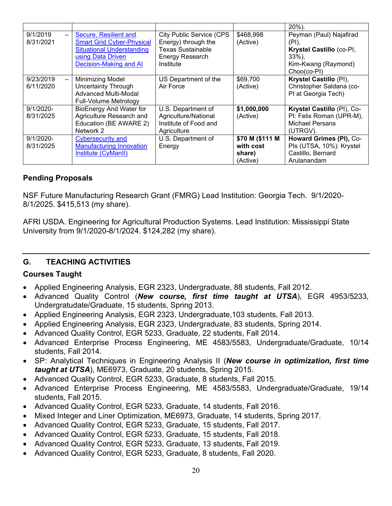|                                                   |                                                                                                                                              |                                                                                                                    |                                                    | $20\%$ ).                                                                                                          |
|---------------------------------------------------|----------------------------------------------------------------------------------------------------------------------------------------------|--------------------------------------------------------------------------------------------------------------------|----------------------------------------------------|--------------------------------------------------------------------------------------------------------------------|
| 9/1/2019<br>$\overline{\phantom{0}}$<br>8/31/2021 | Secure, Resilient and<br><b>Smart Grid Cyber-Physical</b><br><b>Situational Understanding</b><br>using Data Driven<br>Decision-Making and Al | <b>City Public Service (CPS</b><br>Energy) through the<br><b>Texas Sustainable</b><br>Energy Research<br>Institute | \$468,998<br>(Active)                              | Peyman (Paul) Najafirad<br>$(PI)$ ,<br>Krystel Castillo (co-Pl,<br>$33\%$ ),<br>Kim-Kwang (Raymond)<br>Choo(co-PI) |
| 9/23/2019<br>6/11/2020                            | Minimizing Model<br><b>Uncertainty Through</b><br><b>Advanced Multi-Modal</b><br>Full-Volume Metrology                                       | US Department of the<br>Air Force                                                                                  | \$69,700<br>(Active)                               | Krystel Castillo (PI),<br>Christopher Saldana (co-<br>PI at Georgia Tech)                                          |
| 9/1/2020-<br>8/31/2025                            | <b>BioEnergy And Water for</b><br>Agriculture Research and<br>Education (BE AWARE 2)<br>Network 2                                            | U.S. Department of<br>Agriculture/National<br>Institute of Food and<br>Agriculture                                 | \$1,000,000<br>(Active)                            | Krystel Castillo (PI), Co-<br>PI: Felix Roman (UPR-M),<br><b>Michael Persans</b><br>(UTRGV).                       |
| $9/1/2020 -$<br>8/31/2025                         | <b>Cybersecurity and</b><br><b>Manufacturing Innovation</b><br>Institute (CyManII)                                                           | U.S. Department of<br>Energy                                                                                       | \$70 M (\$111 M<br>with cost<br>share)<br>(Active) | Howard Grimes (PI), Co-<br>Pls (UTSA, 10%): Krystel<br>Castillo, Bernard<br>Arulanandam                            |

#### **Pending Proposals**

NSF Future Manufacturing Research Grant (FMRG) Lead Institution: Georgia Tech. 9/1/2020- 8/1/2025. \$415,513 (my share).

AFRI USDA. Engineering for Agricultural Production Systems. Lead Institution: Mississippi State University from 9/1/2020-8/1/2024. \$124,282 (my share).

#### <span id="page-20-0"></span>**G. TEACHING ACTIVITIES**

#### **Courses Taught**

- Applied Engineering Analysis, EGR 2323, Undergraduate, 88 students, Fall 2012.
- Advanced Quality Control (*New course, first time taught at UTSA*), EGR 4953/5233, Undergratudate/Graduate, 15 students, Spring 2013.
- Applied Engineering Analysis, EGR 2323, Undergraduate,103 students, Fall 2013.
- Applied Engineering Analysis, EGR 2323, Undergraduate, 83 students, Spring 2014.
- Advanced Quality Control, EGR 5233, Graduate, 22 students, Fall 2014.
- Advanced Enterprise Process Engineering, ME 4583/5583, Undergraduate/Graduate, 10/14 students, Fall 2014.
- SP: Analytical Techniques in Engineering Analysis II (*New course in optimization, first time taught at UTSA*), ME6973, Graduate, 20 students, Spring 2015.
- Advanced Quality Control, EGR 5233, Graduate, 8 students, Fall 2015.
- Advanced Enterprise Process Engineering, ME 4583/5583, Undergraduate/Graduate, 19/14 students, Fall 2015.
- Advanced Quality Control, EGR 5233, Graduate, 14 students, Fall 2016.
- Mixed Integer and Liner Optimization, ME6973, Graduate, 14 students, Spring 2017.
- Advanced Quality Control, EGR 5233, Graduate, 15 students, Fall 2017.
- Advanced Quality Control, EGR 5233, Graduate, 15 students, Fall 2018.
- Advanced Quality Control, EGR 5233, Graduate, 13 students, Fall 2019.
- Advanced Quality Control, EGR 5233, Graduate, 8 students, Fall 2020.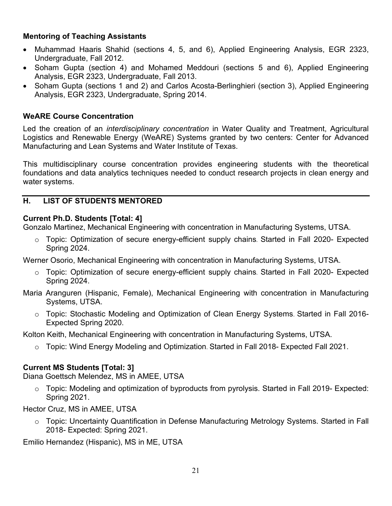#### **Mentoring of Teaching Assistants**

- Muhammad Haaris Shahid (sections 4, 5, and 6), Applied Engineering Analysis, EGR 2323, Undergraduate, Fall 2012.
- Soham Gupta (section 4) and Mohamed Meddouri (sections 5 and 6), Applied Engineering Analysis, EGR 2323, Undergraduate, Fall 2013.
- Soham Gupta (sections 1 and 2) and Carlos Acosta-Berlinghieri (section 3), Applied Engineering Analysis, EGR 2323, Undergraduate, Spring 2014.

#### **WeARE Course Concentration**

Led the creation of an *interdisciplinary concentration* in Water Quality and Treatment, Agricultural Logistics and Renewable Energy (WeARE) Systems granted by two centers: Center for Advanced Manufacturing and Lean Systems and Water Institute of Texas.

This multidisciplinary course concentration provides engineering students with the theoretical foundations and data analytics techniques needed to conduct research projects in clean energy and water systems.

#### <span id="page-21-0"></span>**H. LIST OF STUDENTS MENTORED**

#### **Current Ph.D. Students [Total: 4]**

Gonzalo Martinez, Mechanical Engineering with concentration in Manufacturing Systems, UTSA.

o Topic: Optimization of secure energy-efficient supply chains. Started in Fall 2020- Expected Spring 2024.

Werner Osorio, Mechanical Engineering with concentration in Manufacturing Systems, UTSA.

- $\circ$  Topic: Optimization of secure energy-efficient supply chains. Started in Fall 2020- Expected Spring 2024.
- Maria Aranguren (Hispanic, Female), Mechanical Engineering with concentration in Manufacturing Systems, UTSA.
	- o Topic: Stochastic Modeling and Optimization of Clean Energy Systems. Started in Fall 2016- Expected Spring 2020.

Kolton Keith, Mechanical Engineering with concentration in Manufacturing Systems, UTSA.

 $\circ$  Topic: Wind Energy Modeling and Optimization. Started in Fall 2018- Expected Fall 2021.

# **Current MS Students [Total: 3]**

Diana Goettsch Melendez, MS in AMEE, UTSA

 $\circ$  Topic: Modeling and optimization of byproducts from pyrolysis. Started in Fall 2019- Expected: Spring 2021.

Hector Cruz, MS in AMEE, UTSA

 $\circ$  Topic: Uncertainty Quantification in Defense Manufacturing Metrology Systems. Started in Fall 2018- Expected: Spring 2021.

Emilio Hernandez (Hispanic), MS in ME, UTSA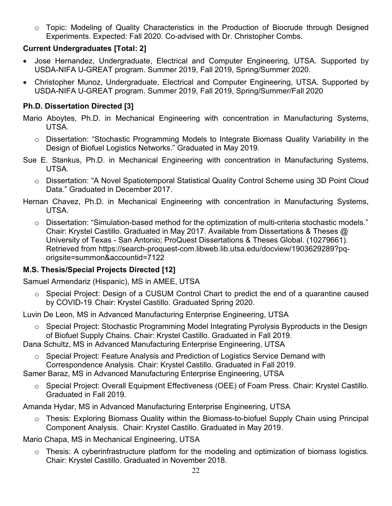$\circ$  Topic: Modeling of Quality Characteristics in the Production of Biocrude through Designed Experiments. Expected: Fall 2020. Co-advised with Dr. Christopher Combs.

### **Current Undergraduates [Total: 2]**

- Jose Hernandez, Undergraduate, Electrical and Computer Engineering, UTSA. Supported by USDA-NIFA U-GREAT program. Summer 2019, Fall 2019, Spring/Summer 2020.
- Christopher Munoz, Undergraduate, Electrical and Computer Engineering, UTSA. Supported by USDA-NIFA U-GREAT program. Summer 2019, Fall 2019, Spring/Summer/Fall 2020

# **Ph.D. Dissertation Directed [3]**

- Mario Aboytes, Ph.D. in Mechanical Engineering with concentration in Manufacturing Systems, UTSA.
	- o Dissertation: "Stochastic Programming Models to Integrate Biomass Quality Variability in the Design of Biofuel Logistics Networks." Graduated in May 2019.
- Sue E. Stankus, Ph.D. in Mechanical Engineering with concentration in Manufacturing Systems, UTSA.
	- o Dissertation: "A Novel Spatiotemporal Statistical Quality Control Scheme using 3D Point Cloud Data." Graduated in December 2017.
- Hernan Chavez, Ph.D. in Mechanical Engineering with concentration in Manufacturing Systems, UTSA.
	- $\circ$  Dissertation: "Simulation-based method for the optimization of multi-criteria stochastic models." Chair: Krystel Castillo. Graduated in May 2017. Available from Dissertations & Theses @ University of Texas - San Antonio; ProQuest Dissertations & Theses Global. (10279661). Retrieved from https://search-proquest-com.libweb.lib.utsa.edu/docview/1903629289?pqorigsite=summon&accountid=7122

# **M.S. Thesis/Special Projects Directed [12]**

Samuel Armendariz (Hispanic), MS in AMEE, UTSA

o Special Project: Design of a CUSUM Control Chart to predict the end of a quarantine caused by COVID-19. Chair: Krystel Castillo. Graduated Spring 2020.

Luvin De Leon, MS in Advanced Manufacturing Enterprise Engineering, UTSA

o Special Project: Stochastic Programming Model Integrating Pyrolysis Byproducts in the Design of Biofuel Supply Chains. Chair: Krystel Castillo. Graduated in Fall 2019.

Dana Schultz, MS in Advanced Manufacturing Enterprise Engineering, UTSA

o Special Project: Feature Analysis and Prediction of Logistics Service Demand with Correspondence Analysis. Chair: Krystel Castillo. Graduated in Fall 2019.

Samer Baraz, MS in Advanced Manufacturing Enterprise Engineering, UTSA

o Special Project: Overall Equipment Effectiveness (OEE) of Foam Press. Chair: Krystel Castillo. Graduated in Fall 2019.

Amanda Hydar, MS in Advanced Manufacturing Enterprise Engineering, UTSA

o Thesis: Exploring Biomass Quality within the Biomass-to-biofuel Supply Chain using Principal Component Analysis. Chair: Krystel Castillo. Graduated in May 2019.

Mario Chapa, MS in Mechanical Engineering, UTSA

o Thesis: A cyberinfrastructure platform for the modeling and optimization of biomass logistics. Chair: Krystel Castillo. Graduated in November 2018.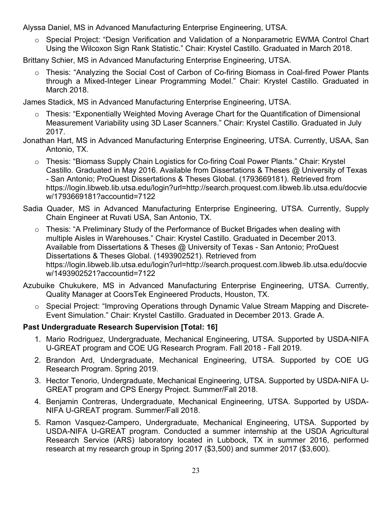Alyssa Daniel, MS in Advanced Manufacturing Enterprise Engineering, UTSA.

o Special Project: "Design Verification and Validation of a Nonparametric EWMA Control Chart Using the Wilcoxon Sign Rank Statistic." Chair: Krystel Castillo. Graduated in March 2018.

Brittany Schier, MS in Advanced Manufacturing Enterprise Engineering, UTSA.

o Thesis: "Analyzing the Social Cost of Carbon of Co-firing Biomass in Coal-fired Power Plants through a Mixed-Integer Linear Programming Model." Chair: Krystel Castillo. Graduated in March 2018.

James Stadick, MS in Advanced Manufacturing Enterprise Engineering, UTSA.

- o Thesis: "Exponentially Weighted Moving Average Chart for the Quantification of Dimensional Measurement Variability using 3D Laser Scanners." Chair: Krystel Castillo. Graduated in July 2017.
- Jonathan Hart, MS in Advanced Manufacturing Enterprise Engineering, UTSA. Currently, USAA, San Antonio, TX.
	- o Thesis: "Biomass Supply Chain Logistics for Co-firing Coal Power Plants." Chair: Krystel Castillo. Graduated in May 2016. Available from Dissertations & Theses @ University of Texas - San Antonio; ProQuest Dissertations & Theses Global. (1793669181). Retrieved from https://login.libweb.lib.utsa.edu/login?url=http://search.proquest.com.libweb.lib.utsa.edu/docvie w/1793669181?accountid=7122
- Sadia Quader, MS in Advanced Manufacturing Enterprise Engineering, UTSA. Currently, Supply Chain Engineer at Ruvati USA, San Antonio, TX.
	- o Thesis: "A Preliminary Study of the Performance of Bucket Brigades when dealing with multiple Aisles in Warehouses." Chair: Krystel Castillo. Graduated in December 2013. Available from Dissertations & Theses @ University of Texas - San Antonio; ProQuest Dissertations & Theses Global. (1493902521). Retrieved from https://login.libweb.lib.utsa.edu/login?url=http://search.proquest.com.libweb.lib.utsa.edu/docvie w/1493902521?accountid=7122
- Azubuike Chukukere, MS in Advanced Manufacturing Enterprise Engineering, UTSA. Currently, Quality Manager at CoorsTek Engineered Products, Houston, TX.
	- o Special Project: "Improving Operations through Dynamic Value Stream Mapping and Discrete-Event Simulation." Chair: Krystel Castillo. Graduated in December 2013. Grade A.

#### **Past Undergraduate Research Supervision [Total: 16]**

- 1. Mario Rodriguez, Undergraduate, Mechanical Engineering, UTSA. Supported by USDA-NIFA U-GREAT program and COE UG Research Program. Fall 2018 - Fall 2019.
- 2. Brandon Ard, Undergraduate, Mechanical Engineering, UTSA. Supported by COE UG Research Program. Spring 2019.
- 3. Hector Tenorio, Undergraduate, Mechanical Engineering, UTSA. Supported by USDA-NIFA U-GREAT program and CPS Energy Project. Summer/Fall 2018.
- 4. Benjamin Contreras, Undergraduate, Mechanical Engineering, UTSA. Supported by USDA-NIFA U-GREAT program. Summer/Fall 2018.
- 5. Ramon Vasquez-Campero, Undergraduate, Mechanical Engineering, UTSA. Supported by USDA-NIFA U-GREAT program. Conducted a summer internship at the USDA Agricultural Research Service (ARS) laboratory located in Lubbock, TX in summer 2016, performed research at my research group in Spring 2017 (\$3,500) and summer 2017 (\$3,600).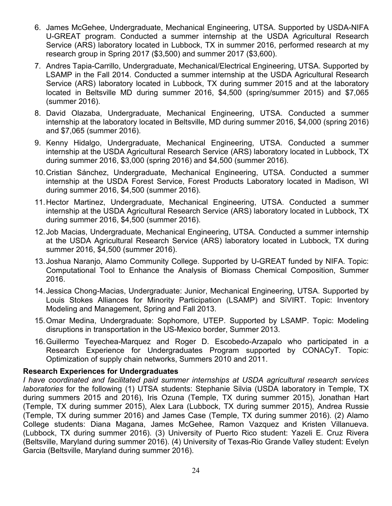- 6. James McGehee, Undergraduate, Mechanical Engineering, UTSA. Supported by USDA-NIFA U-GREAT program. Conducted a summer internship at the USDA Agricultural Research Service (ARS) laboratory located in Lubbock, TX in summer 2016, performed research at my research group in Spring 2017 (\$3,500) and summer 2017 (\$3,600).
- 7. Andres Tapia-Carrillo, Undergraduate, Mechanical/Electrical Engineering, UTSA. Supported by LSAMP in the Fall 2014. Conducted a summer internship at the USDA Agricultural Research Service (ARS) laboratory located in Lubbock, TX during summer 2015 and at the laboratory located in Beltsville MD during summer 2016, \$4,500 (spring/summer 2015) and \$7,065 (summer 2016).
- 8. David Olazaba, Undergraduate, Mechanical Engineering, UTSA. Conducted a summer internship at the laboratory located in Beltsville, MD during summer 2016, \$4,000 (spring 2016) and \$7,065 (summer 2016).
- 9. Kenny Hidalgo, Undergraduate, Mechanical Engineering, UTSA. Conducted a summer internship at the USDA Agricultural Research Service (ARS) laboratory located in Lubbock, TX during summer 2016, \$3,000 (spring 2016) and \$4,500 (summer 2016).
- 10.Cristian Sánchez, Undergraduate, Mechanical Engineering, UTSA. Conducted a summer internship at the USDA Forest Service, Forest Products Laboratory located in Madison, WI during summer 2016, \$4,500 (summer 2016).
- 11.Hector Martinez, Undergraduate, Mechanical Engineering, UTSA. Conducted a summer internship at the USDA Agricultural Research Service (ARS) laboratory located in Lubbock, TX during summer 2016, \$4,500 (summer 2016).
- 12.Job Macias, Undergraduate, Mechanical Engineering, UTSA. Conducted a summer internship at the USDA Agricultural Research Service (ARS) laboratory located in Lubbock, TX during summer 2016, \$4,500 (summer 2016).
- 13.Joshua Naranjo, Alamo Community College. Supported by U-GREAT funded by NIFA. Topic: Computational Tool to Enhance the Analysis of Biomass Chemical Composition, Summer 2016.
- 14.Jessica Chong-Macias, Undergraduate: Junior, Mechanical Engineering, UTSA. Supported by Louis Stokes Alliances for Minority Participation (LSAMP) and SiVIRT. Topic: Inventory Modeling and Management, Spring and Fall 2013.
- 15.Omar Medina, Undergraduate: Sophomore, UTEP. Supported by LSAMP. Topic: Modeling disruptions in transportation in the US-Mexico border, Summer 2013.
- 16.Guillermo Teyechea-Marquez and Roger D. Escobedo-Arzapalo who participated in a Research Experience for Undergraduates Program supported by CONACyT. Topic: Optimization of supply chain networks, Summers 2010 and 2011.

#### **Research Experiences for Undergraduates**

*I have coordinated and facilitated paid summer internships at USDA agricultural research services laboratories* for the following (1) UTSA students: Stephanie Silvia (USDA laboratory in Temple, TX during summers 2015 and 2016), Iris Ozuna (Temple, TX during summer 2015), Jonathan Hart (Temple, TX during summer 2015), Alex Lara (Lubbock, TX during summer 2015), Andrea Russie (Temple, TX during summer 2016) and James Case (Temple, TX during summer 2016). (2) Alamo College students: Diana Magana, James McGehee, Ramon Vazquez and Kristen Villanueva. (Lubbock, TX during summer 2016). (3) University of Puerto Rico student: Yazeli E. Cruz Rivera (Beltsville, Maryland during summer 2016). (4) University of Texas-Rio Grande Valley student: Evelyn Garcia (Beltsville, Maryland during summer 2016).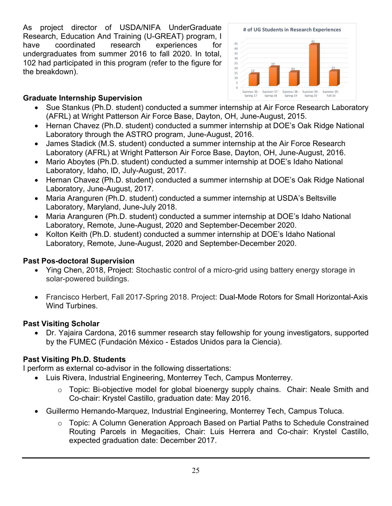As project director of USDA/NIFA UnderGraduate Research, Education And Training (U-GREAT) program, I have coordinated research experiences for undergraduates from summer 2016 to fall 2020. In total, 102 had participated in this program (refer to the figure for the breakdown).



#### **Graduate Internship Supervision**

- Sue Stankus (Ph.D. student) conducted a summer internship at Air Force Research Laboratory (AFRL) at Wright Patterson Air Force Base, Dayton, OH, June-August, 2015.
- Hernan Chavez (Ph.D. student) conducted a summer internship at DOE's Oak Ridge National Laboratory through the ASTRO program, June-August, 2016.
- James Stadick (M.S. student) conducted a summer internship at the Air Force Research Laboratory (AFRL) at Wright Patterson Air Force Base, Dayton, OH, June-August, 2016.
- Mario Aboytes (Ph.D. student) conducted a summer internship at DOE's Idaho National Laboratory, Idaho, ID, July-August, 2017.
- Hernan Chavez (Ph.D. student) conducted a summer internship at DOE's Oak Ridge National Laboratory, June-August, 2017.
- Maria Aranguren (Ph.D. student) conducted a summer internship at USDA's Beltsville Laboratory, Maryland, June-July 2018.
- Maria Aranguren (Ph.D. student) conducted a summer internship at DOE's Idaho National Laboratory, Remote, June-August, 2020 and September-December 2020.
- Kolton Keith (Ph.D. student) conducted a summer internship at DOE's Idaho National Laboratory, Remote, June-August, 2020 and September-December 2020.

# **Past Pos-doctoral Supervision**

- Ying Chen, 2018, Project: Stochastic control of a micro-grid using battery energy storage in solar-powered buildings.
- Francisco Herbert, Fall 2017-Spring 2018. Project: Dual-Mode Rotors for Small Horizontal-Axis Wind Turbines.

#### **Past Visiting Scholar**

• Dr. Yajaira Cardona, 2016 summer research stay fellowship for young investigators, supported by the FUMEC (Fundación México - Estados Unidos para la Ciencia).

# **Past Visiting Ph.D. Students**

I perform as external co-advisor in the following dissertations:

- Luis Rivera, Industrial Engineering, Monterrey Tech, Campus Monterrey.
	- o Topic: Bi-objective model for global bioenergy supply chains. Chair: Neale Smith and Co-chair: Krystel Castillo, graduation date: May 2016.
- Guillermo Hernando-Marquez, Industrial Engineering, Monterrey Tech, Campus Toluca.
	- o Topic: A Column Generation Approach Based on Partial Paths to Schedule Constrained Routing Parcels in Megacities, Chair: Luis Herrera and Co-chair: Krystel Castillo, expected graduation date: December 2017.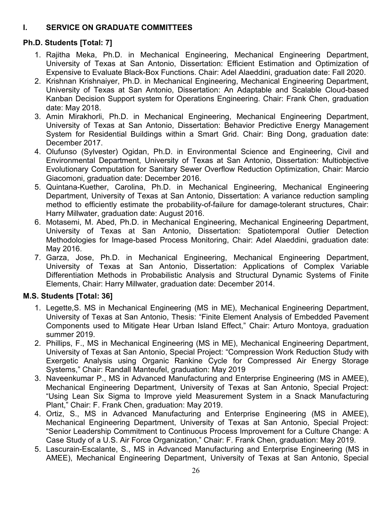# <span id="page-26-0"></span>**I. SERVICE ON GRADUATE COMMITTEES**

# **Ph.D. Students [Total: 7]**

- 1. Rajitha Meka, Ph.D. in Mechanical Engineering, Mechanical Engineering Department, University of Texas at San Antonio, Dissertation: Efficient Estimation and Optimization of Expensive to Evaluate Black-Box Functions. Chair: Adel Alaeddini, graduation date: Fall 2020.
- 2. Krishnan Krishnaiyer, Ph.D. in Mechanical Engineering, Mechanical Engineering Department, University of Texas at San Antonio, Dissertation: An Adaptable and Scalable Cloud-based Kanban Decision Support system for Operations Engineering. Chair: Frank Chen, graduation date: May 2018.
- 3. Amin Mirakhorli, Ph.D. in Mechanical Engineering, Mechanical Engineering Department, University of Texas at San Antonio, Dissertation: Behavior Predictive Energy Management System for Residential Buildings within a Smart Grid. Chair: Bing Dong, graduation date: December 2017.
- 4. Olufunso (Sylvester) Ogidan, Ph.D. in Environmental Science and Engineering, Civil and Environmental Department, University of Texas at San Antonio, Dissertation: Multiobjective Evolutionary Computation for Sanitary Sewer Overflow Reduction Optimization, Chair: Marcio Giacomoni, graduation date: December 2016.
- 5. Quintana-Kuether, Carolina, Ph.D. in Mechanical Engineering, Mechanical Engineering Department, University of Texas at San Antonio, Dissertation: A variance reduction sampling method to efficiently estimate the probability-of-failure for damage-tolerant structures, Chair: Harry Millwater, graduation date: August 2016.
- 6. Motasemi, M. Abed, Ph.D. in Mechanical Engineering, Mechanical Engineering Department, University of Texas at San Antonio, Dissertation: Spatiotemporal Outlier Detection Methodologies for Image-based Process Monitoring, Chair: Adel Alaeddini, graduation date: May 2016.
- 7. Garza, Jose, Ph.D. in Mechanical Engineering, Mechanical Engineering Department, University of Texas at San Antonio, Dissertation: Applications of Complex Variable Differentiation Methods in Probabilistic Analysis and Structural Dynamic Systems of Finite Elements, Chair: Harry Millwater, graduation date: December 2014.

# **M.S. Students [Total: 36]**

- 1. Legette,S. MS in Mechanical Engineering (MS in ME), Mechanical Engineering Department, University of Texas at San Antonio, Thesis: "Finite Element Analysis of Embedded Pavement Components used to Mitigate Hear Urban Island Effect," Chair: Arturo Montoya, graduation summer 2019.
- 2. Phillips, F., MS in Mechanical Engineering (MS in ME), Mechanical Engineering Department, University of Texas at San Antonio, Special Project: "Compression Work Reduction Study with Exergetic Analysis using Organic Rankine Cycle for Compressed Air Energy Storage Systems," Chair: Randall Manteufel, graduation: May 2019
- 3. Naveenkumar P., MS in Advanced Manufacturing and Enterprise Engineering (MS in AMEE), Mechanical Engineering Department, University of Texas at San Antonio, Special Project: "Using Lean Six Sigma to Improve yield Measurement System in a Snack Manufacturing Plant," Chair: F. Frank Chen, graduation: May 2019.
- 4. Ortiz, S., MS in Advanced Manufacturing and Enterprise Engineering (MS in AMEE), Mechanical Engineering Department, University of Texas at San Antonio, Special Project: "Senior Leadership Commitment to Continuous Process Improvement for a Culture Change: A Case Study of a U.S. Air Force Organization," Chair: F. Frank Chen, graduation: May 2019.
- 5. Lascurain-Escalante, S., MS in Advanced Manufacturing and Enterprise Engineering (MS in AMEE), Mechanical Engineering Department, University of Texas at San Antonio, Special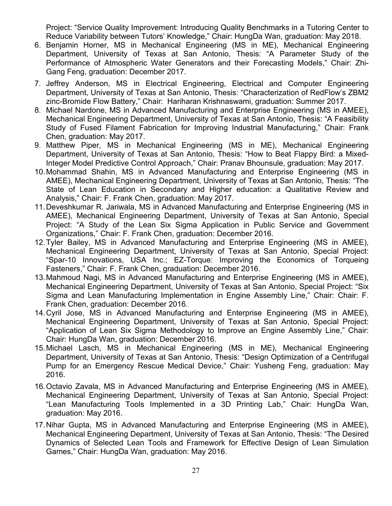Project: "Service Quality Improvement: Introducing Quality Benchmarks in a Tutoring Center to Reduce Variability between Tutors' Knowledge," Chair: HungDa Wan, graduation: May 2018.

- 6. Benjamin Horner, MS in Mechanical Engineering (MS in ME), Mechanical Engineering Department, University of Texas at San Antonio, Thesis: "A Parameter Study of the Performance of Atmospheric Water Generators and their Forecasting Models," Chair: Zhi-Gang Feng, graduation: December 2017.
- 7. Jeffrey Anderson, MS in Electrical Engineering, Electrical and Computer Engineering Department, University of Texas at San Antonio, Thesis: "Characterization of RedFlow's ZBM2 zinc-Bromide Flow Battery," Chair: Hariharan Krishnaswami, graduation: Summer 2017.
- 8. Michael Nardone, MS in Advanced Manufacturing and Enterprise Engineering (MS in AMEE), Mechanical Engineering Department, University of Texas at San Antonio, Thesis: "A Feasibility Study of Fused Filament Fabrication for Improving Industrial Manufacturing," Chair: Frank Chen, graduation: May 2017.
- 9. Matthew Piper, MS in Mechanical Engineering (MS in ME), Mechanical Engineering Department, University of Texas at San Antonio, Thesis: "How to Beat Flappy Bird: a Mixed-Integer Model Predictive Control Approach," Chair: Pranav Bhounsule, graduation: May 2017.
- 10.Mohammad Shahin, MS in Advanced Manufacturing and Enterprise Engineering (MS in AMEE), Mechanical Engineering Department, University of Texas at San Antonio, Thesis: "The State of Lean Education in Secondary and Higher education: a Qualitative Review and Analysis," Chair: F. Frank Chen, graduation: May 2017.
- 11.Deveshkumar R. Jariwala, MS in Advanced Manufacturing and Enterprise Engineering (MS in AMEE), Mechanical Engineering Department, University of Texas at San Antonio, Special Project: "A Study of the Lean Six Sigma Application in Public Service and Government Organizations," Chair: F. Frank Chen, graduation: December 2016.
- 12.Tyler Bailey, MS in Advanced Manufacturing and Enterprise Engineering (MS in AMEE), Mechanical Engineering Department, University of Texas at San Antonio, Special Project: "Spar-10 Innovations, USA Inc.; EZ-Torque: Improving the Economics of Torqueing Fasteners," Chair: F. Frank Chen, graduation: December 2016.
- 13.Mahmoud Nagi, MS in Advanced Manufacturing and Enterprise Engineering (MS in AMEE), Mechanical Engineering Department, University of Texas at San Antonio, Special Project: "Six Sigma and Lean Manufacturing Implementation in Engine Assembly Line," Chair: Chair: F. Frank Chen, graduation: December 2016.
- 14.Cyril Jose, MS in Advanced Manufacturing and Enterprise Engineering (MS in AMEE), Mechanical Engineering Department, University of Texas at San Antonio, Special Project: "Application of Lean Six Sigma Methodology to Improve an Engine Assembly Line," Chair: Chair: HungDa Wan, graduation: December 2016.
- 15.Michael Lasch, MS in Mechanical Engineering (MS in ME), Mechanical Engineering Department, University of Texas at San Antonio, Thesis: "Design Optimization of a Centrifugal Pump for an Emergency Rescue Medical Device," Chair: Yusheng Feng, graduation: May 2016.
- 16.Octavio Zavala, MS in Advanced Manufacturing and Enterprise Engineering (MS in AMEE), Mechanical Engineering Department, University of Texas at San Antonio, Special Project: "Lean Manufacturing Tools Implemented in a 3D Printing Lab," Chair: HungDa Wan, graduation: May 2016.
- 17.Nihar Gupta, MS in Advanced Manufacturing and Enterprise Engineering (MS in AMEE), Mechanical Engineering Department, University of Texas at San Antonio, Thesis: "The Desired Dynamics of Selected Lean Tools and Framework for Effective Design of Lean Simulation Games," Chair: HungDa Wan, graduation: May 2016.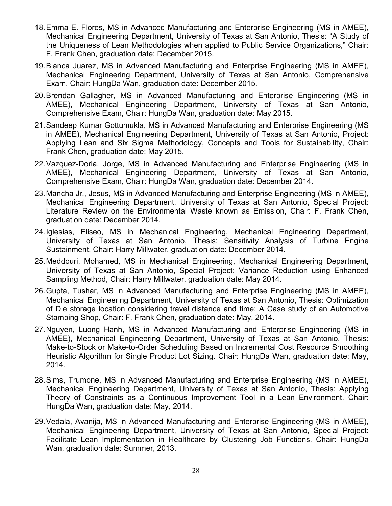- 18.Emma E. Flores, MS in Advanced Manufacturing and Enterprise Engineering (MS in AMEE), Mechanical Engineering Department, University of Texas at San Antonio, Thesis: "A Study of the Uniqueness of Lean Methodologies when applied to Public Service Organizations," Chair: F. Frank Chen, graduation date: December 2015.
- 19.Bianca Juarez, MS in Advanced Manufacturing and Enterprise Engineering (MS in AMEE), Mechanical Engineering Department, University of Texas at San Antonio, Comprehensive Exam, Chair: HungDa Wan, graduation date: December 2015.
- 20.Brendan Gallagher, MS in Advanced Manufacturing and Enterprise Engineering (MS in AMEE), Mechanical Engineering Department, University of Texas at San Antonio, Comprehensive Exam, Chair: HungDa Wan, graduation date: May 2015.
- 21.Sandeep Kumar Gottumukla, MS in Advanced Manufacturing and Enterprise Engineering (MS in AMEE), Mechanical Engineering Department, University of Texas at San Antonio, Project: Applying Lean and Six Sigma Methodology, Concepts and Tools for Sustainability, Chair: Frank Chen, graduation date: May 2015.
- 22.Vazquez-Doria, Jorge, MS in Advanced Manufacturing and Enterprise Engineering (MS in AMEE), Mechanical Engineering Department, University of Texas at San Antonio, Comprehensive Exam, Chair: HungDa Wan, graduation date: December 2014.
- 23.Mancha Jr., Jesus, MS in Advanced Manufacturing and Enterprise Engineering (MS in AMEE), Mechanical Engineering Department, University of Texas at San Antonio, Special Project: Literature Review on the Environmental Waste known as Emission, Chair: F. Frank Chen, graduation date: December 2014.
- 24.Iglesias, Eliseo, MS in Mechanical Engineering, Mechanical Engineering Department, University of Texas at San Antonio, Thesis: Sensitivity Analysis of Turbine Engine Sustainment, Chair: Harry Millwater, graduation date: December 2014.
- 25.Meddouri, Mohamed, MS in Mechanical Engineering, Mechanical Engineering Department, University of Texas at San Antonio, Special Project: Variance Reduction using Enhanced Sampling Method, Chair: Harry Millwater, graduation date: May 2014.
- 26.Gupta, Tushar, MS in Advanced Manufacturing and Enterprise Engineering (MS in AMEE), Mechanical Engineering Department, University of Texas at San Antonio, Thesis: Optimization of Die storage location considering travel distance and time: A Case study of an Automotive Stamping Shop, Chair: F. Frank Chen, graduation date: May, 2014.
- 27.Nguyen, Luong Hanh, MS in Advanced Manufacturing and Enterprise Engineering (MS in AMEE), Mechanical Engineering Department, University of Texas at San Antonio, Thesis: Make-to-Stock or Make-to-Order Scheduling Based on Incremental Cost Resource Smoothing Heuristic Algorithm for Single Product Lot Sizing. Chair: HungDa Wan, graduation date: May, 2014.
- 28.Sims, Trumone, MS in Advanced Manufacturing and Enterprise Engineering (MS in AMEE), Mechanical Engineering Department, University of Texas at San Antonio, Thesis: Applying Theory of Constraints as a Continuous Improvement Tool in a Lean Environment. Chair: HungDa Wan, graduation date: May, 2014.
- 29.Vedala, Avanija, MS in Advanced Manufacturing and Enterprise Engineering (MS in AMEE), Mechanical Engineering Department, University of Texas at San Antonio, Special Project: Facilitate Lean Implementation in Healthcare by Clustering Job Functions. Chair: HungDa Wan, graduation date: Summer, 2013.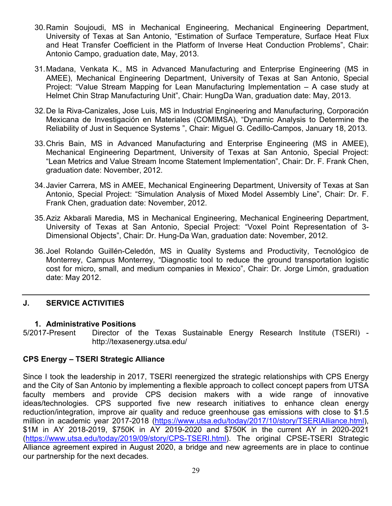- 30.Ramin Soujoudi, MS in Mechanical Engineering, Mechanical Engineering Department, University of Texas at San Antonio, "Estimation of Surface Temperature, Surface Heat Flux and Heat Transfer Coefficient in the Platform of Inverse Heat Conduction Problems", Chair: Antonio Campo, graduation date, May, 2013.
- 31.Madana, Venkata K., MS in Advanced Manufacturing and Enterprise Engineering (MS in AMEE), Mechanical Engineering Department, University of Texas at San Antonio, Special Project: "Value Stream Mapping for Lean Manufacturing Implementation – A case study at Helmet Chin Strap Manufacturing Unit", Chair: HungDa Wan, graduation date: May, 2013.
- 32.De la Riva-Canizales, Jose Luis, MS in Industrial Engineering and Manufacturing, Corporación Mexicana de Investigación en Materiales (COMIMSA), "Dynamic Analysis to Determine the Reliability of Just in Sequence Systems ", Chair: Miguel G. Cedillo-Campos, January 18, 2013.
- 33.Chris Bain, MS in Advanced Manufacturing and Enterprise Engineering (MS in AMEE), Mechanical Engineering Department, University of Texas at San Antonio, Special Project: "Lean Metrics and Value Stream Income Statement Implementation", Chair: Dr. F. Frank Chen, graduation date: November, 2012.
- 34.Javier Carrera, MS in AMEE, Mechanical Engineering Department, University of Texas at San Antonio, Special Project: "Simulation Analysis of Mixed Model Assembly Line", Chair: Dr. F. Frank Chen, graduation date: November, 2012.
- 35.Aziz Akbarali Maredia, MS in Mechanical Engineering, Mechanical Engineering Department, University of Texas at San Antonio, Special Project: "Voxel Point Representation of 3- Dimensional Objects", Chair: Dr. Hung-Da Wan, graduation date: November, 2012.
- 36.Joel Rolando Guillén-Celedón, MS in Quality Systems and Productivity, Tecnológico de Monterrey, Campus Monterrey, "Diagnostic tool to reduce the ground transportation logistic cost for micro, small, and medium companies in Mexico", Chair: Dr. Jorge Limón, graduation date: May 2012.

# <span id="page-29-0"></span>**J. SERVICE ACTIVITIES**

#### **1. Administrative Positions**

5/2017-Present Director of the Texas Sustainable Energy Research Institute (TSERI) http://texasenergy.utsa.edu/

#### **CPS Energy – TSERI Strategic Alliance**

Since I took the leadership in 2017, TSERI reenergized the strategic relationships with CPS Energy and the City of San Antonio by implementing a flexible approach to collect concept papers from UTSA faculty members and provide CPS decision makers with a wide range of innovative ideas/technologies. CPS supported five new research initiatives to enhance clean energy reduction/integration, improve air quality and reduce greenhouse gas emissions with close to \$1.5 million in academic year 2017-2018 [\(https://www.utsa.edu/today/2017/10/story/TSERIAlliance.html\)](https://www.utsa.edu/today/2017/10/story/TSERIAlliance.html), \$1M in AY 2018-2019, \$750K in AY 2019-2020 and \$750K in the current AY in 2020-2021 [\(https://www.utsa.edu/today/2019/09/story/CPS-TSERI.html\)](https://www.utsa.edu/today/2019/09/story/CPS-TSERI.html). The original CPSE-TSERI Strategic Alliance agreement expired in August 2020, a bridge and new agreements are in place to continue our partnership for the next decades.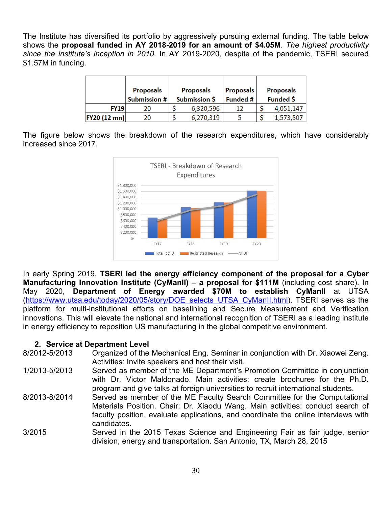The Institute has diversified its portfolio by aggressively pursuing external funding. The table below shows the **proposal funded in AY 2018-2019 for an amount of \$4.05M**. *The highest productivity since the institute's inception in 2010.* In AY 2019-2020, despite of the pandemic, TSERI secured \$1.57M in funding.

|                     | <b>Proposals</b><br>Submission # | <b>Proposals</b><br>Submission \$ |           | Proposals<br>Funded # | <b>Proposals</b><br>Funded \$ |           |
|---------------------|----------------------------------|-----------------------------------|-----------|-----------------------|-------------------------------|-----------|
| <b>FY19</b>         | 20                               |                                   | 6,320,596 | 12                    |                               | 4,051,147 |
| <b>FY20 (12 mn)</b> | 20                               |                                   | 6,270,319 |                       |                               | 1,573,507 |

The figure below shows the breakdown of the research expenditures, which have considerably increased since 2017.



In early Spring 2019, **TSERI led the energy efficiency component of the proposal for a Cyber Manufacturing Innovation Institute (CyManII) – a proposal for \$111M** (including cost share). In May 2020, **Department of Energy awarded \$70M to establish CyManII** at UTSA [\(https://www.utsa.edu/today/2020/05/story/DOE\\_selects\\_UTSA\\_CyManII.html\)](https://www.utsa.edu/today/2020/05/story/DOE_selects_UTSA_CyManII.html). TSERI serves as the platform for multi-institutional efforts on baselining and Secure Measurement and Verification innovations. This will elevate the national and international recognition of TSERI as a leading institute in energy efficiency to reposition US manufacturing in the global competitive environment.

# **2. Service at Department Level**<br>8/2012-5/2013 Qraanized of the

- Organized of the Mechanical Eng. Seminar in conjunction with Dr. Xiaowei Zeng. Activities: Invite speakers and host their visit.
- 1/2013-5/2013 Served as member of the ME Department's Promotion Committee in conjunction with Dr. Victor Maldonado. Main activities: create brochures for the Ph.D. program and give talks at foreign universities to recruit international students.
- 8/2013-8/2014 Served as member of the ME Faculty Search Committee for the Computational Materials Position. Chair: Dr. Xiaodu Wang. Main activities: conduct search of faculty position, evaluate applications, and coordinate the online interviews with candidates.
- 3/2015 Served in the 2015 Texas Science and Engineering Fair as fair judge, senior division, energy and transportation. San Antonio, TX, March 28, 2015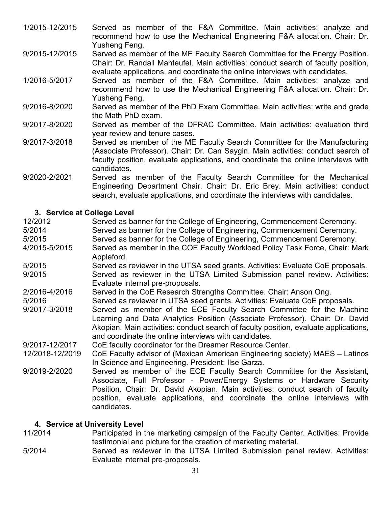- 1/2015-12/2015 Served as member of the F&A Committee. Main activities: analyze and recommend how to use the Mechanical Engineering F&A allocation. Chair: Dr. Yusheng Feng.
- 9/2015-12/2015 Served as member of the ME Faculty Search Committee for the Energy Position. Chair: Dr. Randall Manteufel. Main activities: conduct search of faculty position, evaluate applications, and coordinate the online interviews with candidates.
- 1/2016-5/2017 Served as member of the F&A Committee. Main activities: analyze and recommend how to use the Mechanical Engineering F&A allocation. Chair: Dr. Yusheng Feng.
- 9/2016-8/2020 Served as member of the PhD Exam Committee. Main activities: write and grade the Math PhD exam.
- 9/2017-8/2020 Served as member of the DFRAC Committee. Main activities: evaluation third year review and tenure cases.
- 9/2017-3/2018 Served as member of the ME Faculty Search Committee for the Manufacturing (Associate Professor). Chair: Dr. Can Saygin. Main activities: conduct search of faculty position, evaluate applications, and coordinate the online interviews with candidates.
- 9/2020-2/2021 Served as member of the Faculty Search Committee for the Mechanical Engineering Department Chair. Chair: Dr. Eric Brey. Main activities: conduct search, evaluate applications, and coordinate the interviews with candidates.

#### **3. Service at College Level**

| 12/2012         | Served as banner for the College of Engineering, Commencement Ceremony.                                                                                                                                                                                                                                                         |
|-----------------|---------------------------------------------------------------------------------------------------------------------------------------------------------------------------------------------------------------------------------------------------------------------------------------------------------------------------------|
| 5/2014          | Served as banner for the College of Engineering, Commencement Ceremony.                                                                                                                                                                                                                                                         |
| 5/2015          | Served as banner for the College of Engineering, Commencement Ceremony.                                                                                                                                                                                                                                                         |
| 4/2015-5/2015   | Served as member in the COE Faculty Workload Policy Task Force, Chair: Mark<br>Appleford.                                                                                                                                                                                                                                       |
| 5/2015          | Served as reviewer in the UTSA seed grants. Activities: Evaluate CoE proposals.                                                                                                                                                                                                                                                 |
| 9/2015          | Served as reviewer in the UTSA Limited Submission panel review. Activities:<br>Evaluate internal pre-proposals.                                                                                                                                                                                                                 |
| 2/2016-4/2016   | Served in the CoE Research Strengths Committee. Chair: Anson Ong.                                                                                                                                                                                                                                                               |
| 5/2016          | Served as reviewer in UTSA seed grants. Activities: Evaluate CoE proposals.                                                                                                                                                                                                                                                     |
| 9/2017-3/2018   | Served as member of the ECE Faculty Search Committee for the Machine<br>Learning and Data Analytics Position (Associate Professor). Chair: Dr. David<br>Akopian. Main activities: conduct search of faculty position, evaluate applications,<br>and coordinate the online interviews with candidates.                           |
| 9/2017-12/2017  | CoE faculty coordinator for the Dreamer Resource Center.                                                                                                                                                                                                                                                                        |
| 12/2018-12/2019 | CoE Faculty advisor of (Mexican American Engineering society) MAES - Latinos<br>In Science and Engineering. President: Ilse Garza.                                                                                                                                                                                              |
| 9/2019-2/2020   | Served as member of the ECE Faculty Search Committee for the Assistant,<br>Associate, Full Professor - Power/Energy Systems or Hardware Security<br>Position. Chair: Dr. David Akopian. Main activities: conduct search of faculty<br>position, evaluate applications, and coordinate the online interviews with<br>candidates. |
|                 |                                                                                                                                                                                                                                                                                                                                 |

# **4. Service at University Level**

- Participated in the marketing campaign of the Faculty Center. Activities: Provide testimonial and picture for the creation of marketing material.
- 5/2014 Served as reviewer in the UTSA Limited Submission panel review. Activities: Evaluate internal pre-proposals.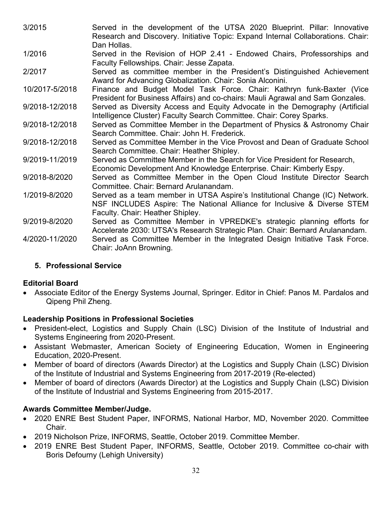- 3/2015 Served in the development of the UTSA 2020 Blueprint. Pillar: Innovative Research and Discovery. Initiative Topic: Expand Internal Collaborations. Chair: Dan Hollas.
- 1/2016 Served in the Revision of HOP 2.41 Endowed Chairs, Professorships and Faculty Fellowships. Chair: Jesse Zapata.
- 2/2017 Served as committee member in the President's Distinguished Achievement Award for Advancing Globalization. Chair: Sonia Alconini.
- 10/2017-5/2018 Finance and Budget Model Task Force. Chair: Kathryn funk-Baxter (Vice President for Business Affairs) and co-chairs: Mauli Agrawal and Sam Gonzales.
- 9/2018-12/2018 Served as Diversity Access and Equity Advocate in the Demography (Artificial Intelligence Cluster) Faculty Search Committee. Chair: Corey Sparks.
- 9/2018-12/2018 Served as Committee Member in the Department of Physics & Astronomy Chair Search Committee. Chair: John H. Frederick.
- 9/2018-12/2018 Served as Committee Member in the Vice Provost and Dean of Graduate School Search Committee. Chair: Heather Shipley.
- 9/2019-11/2019 Served as Committee Member in the Search for Vice President for Research, Economic Development And Knowledge Enterprise. Chair: Kimberly Espy.
- 9/2018-8/2020 Served as Committee Member in the Open Cloud Institute Director Search Committee. Chair: Bernard Arulanandam.
- 1/2019-8/2020 Served as a team member in UTSA Aspire's Institutional Change (IC) Network. NSF INCLUDES Aspire: The National Alliance for Inclusive & Diverse STEM Faculty. Chair: Heather Shipley.
- 9/2019-8/2020 Served as Committee Member in VPREDKE's strategic planning efforts for Accelerate 2030: UTSA's Research Strategic Plan. Chair: Bernard Arulanandam. 4/2020-11/2020 Served as Committee Member in the Integrated Design Initiative Task Force.
- Chair: JoAnn Browning.

# **5. Professional Service**

# **Editorial Board**

• Associate Editor of the Energy Systems Journal, Springer. Editor in Chief: Panos M. Pardalos and Qipeng Phil Zheng.

# **Leadership Positions in Professional Societies**

- President-elect, Logistics and Supply Chain (LSC) Division of the Institute of Industrial and Systems Engineering from 2020-Present.
- Assistant Webmaster, American Society of Engineering Education, Women in Engineering Education, 2020-Present.
- Member of board of directors (Awards Director) at the Logistics and Supply Chain (LSC) Division of the Institute of Industrial and Systems Engineering from 2017-2019 (Re-elected)
- Member of board of directors (Awards Director) at the Logistics and Supply Chain (LSC) Division of the Institute of Industrial and Systems Engineering from 2015-2017.

# **Awards Committee Member/Judge.**

- 2020 ENRE Best Student Paper, INFORMS, National Harbor, MD, November 2020. Committee Chair.
- 2019 Nicholson Prize, INFORMS, Seattle, October 2019. Committee Member.
- 2019 ENRE Best Student Paper, INFORMS, Seattle, October 2019. Committee co-chair with Boris Defourny (Lehigh University)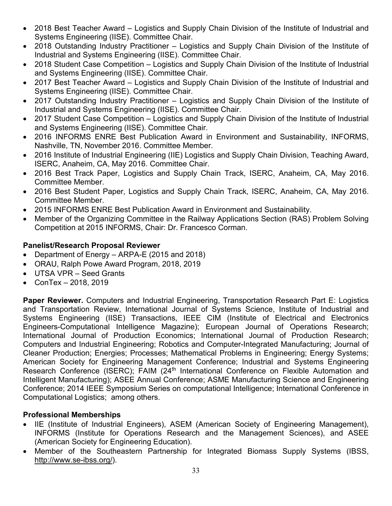- 2018 Best Teacher Award Logistics and Supply Chain Division of the Institute of Industrial and Systems Engineering (IISE). Committee Chair.
- 2018 Outstanding Industry Practitioner Logistics and Supply Chain Division of the Institute of Industrial and Systems Engineering (IISE). Committee Chair.
- 2018 Student Case Competition Logistics and Supply Chain Division of the Institute of Industrial and Systems Engineering (IISE). Committee Chair.
- 2017 Best Teacher Award Logistics and Supply Chain Division of the Institute of Industrial and Systems Engineering (IISE). Committee Chair.
- 2017 Outstanding Industry Practitioner Logistics and Supply Chain Division of the Institute of Industrial and Systems Engineering (IISE). Committee Chair.
- 2017 Student Case Competition Logistics and Supply Chain Division of the Institute of Industrial and Systems Engineering (IISE). Committee Chair.
- 2016 INFORMS ENRE Best Publication Award in Environment and Sustainability, INFORMS, Nashville, TN, November 2016. Committee Member.
- 2016 Institute of Industrial Engineering (IIE) Logistics and Supply Chain Division, Teaching Award, ISERC, Anaheim, CA, May 2016. Committee Chair.
- 2016 Best Track Paper, Logistics and Supply Chain Track, ISERC, Anaheim, CA, May 2016. Committee Member.
- 2016 Best Student Paper, Logistics and Supply Chain Track, ISERC, Anaheim, CA, May 2016. Committee Member.
- 2015 INFORMS ENRE Best Publication Award in Environment and Sustainability.
- Member of the Organizing Committee in the Railway Applications Section (RAS) Problem Solving Competition at 2015 INFORMS, Chair: Dr. Francesco Corman.

# **Panelist/Research Proposal Reviewer**

- Department of Energy ARPA-E (2015 and 2018)
- ORAU, Ralph Powe Award Program, 2018, 2019
- UTSA VPR Seed Grants
- ConTex 2018, 2019

**Paper Reviewer.** Computers and Industrial Engineering, Transportation Research Part E: Logistics and Transportation Review, International Journal of Systems Science, Institute of Industrial and Systems Engineering (IISE) Transactions, IEEE CIM (Institute of Electrical and Electronics Engineers-Computational Intelligence Magazine); European Journal of Operations Research; International Journal of Production Economics; International Journal of Production Research; Computers and Industrial Engineering; Robotics and Computer-Integrated Manufacturing; Journal of Cleaner Production; Energies; Processes; Mathematical Problems in Engineering; Energy Systems; American Society for Engineering Management Conference; Industrial and Systems Engineering Research Conference (ISERC); FAIM (24<sup>th</sup> International Conference on Flexible Automation and Intelligent Manufacturing); ASEE Annual Conference; ASME Manufacturing Science and Engineering Conference; 2014 IEEE Symposium Series on computational Intelligence; International Conference in Computational Logistics; among others.

# **Professional Memberships**

- IIE (Institute of Industrial Engineers), ASEM (American Society of Engineering Management), INFORMS (Institute for Operations Research and the Management Sciences), and ASEE (American Society for Engineering Education).
- Member of the Southeastern Partnership for Integrated Biomass Supply Systems (IBSS, [http://www.se-ibss.org/\)](http://www.se-ibss.org/).